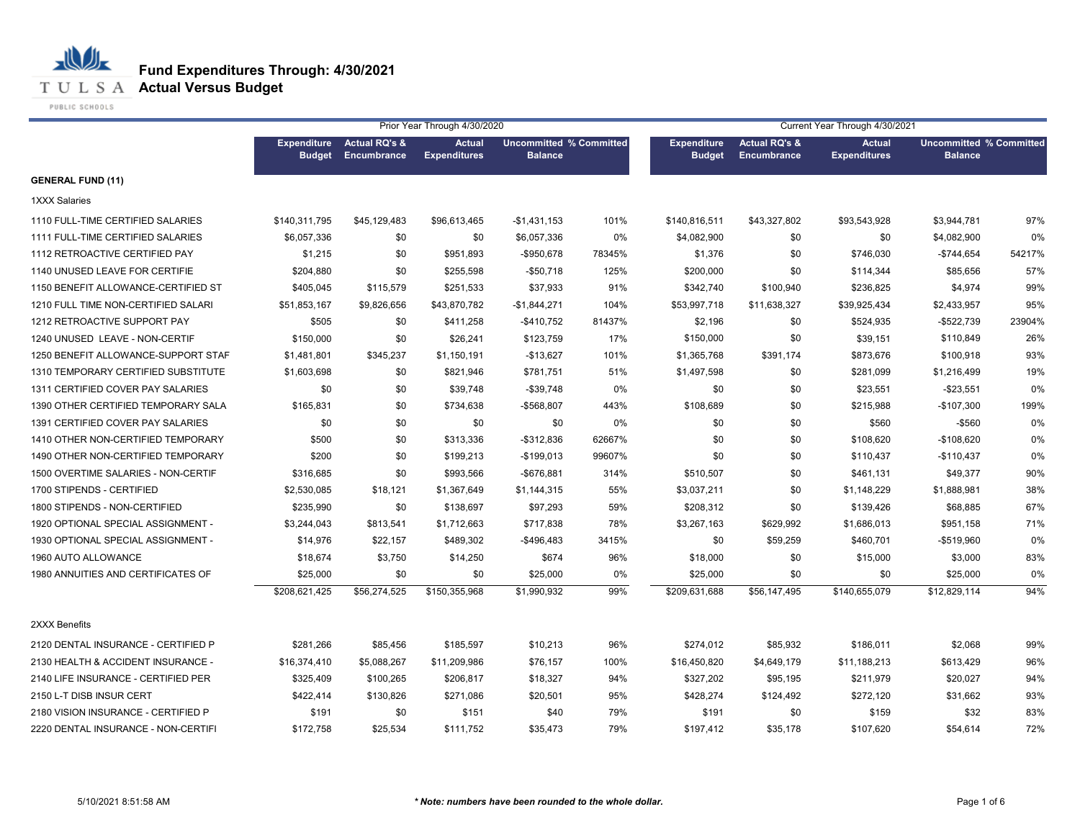**T U L S A Actual Versus Budget** 

PUBLIC SCHOOLS

|                                     |                                     |                                         | Prior Year Through 4/30/2020         |                                                  |        | Current Year Through 4/30/2021      |                                         |                                      |                                                  |        |  |
|-------------------------------------|-------------------------------------|-----------------------------------------|--------------------------------------|--------------------------------------------------|--------|-------------------------------------|-----------------------------------------|--------------------------------------|--------------------------------------------------|--------|--|
|                                     | <b>Expenditure</b><br><b>Budget</b> | <b>Actual RQ's &amp;</b><br>Encumbrance | <b>Actual</b><br><b>Expenditures</b> | <b>Uncommitted % Committed</b><br><b>Balance</b> |        | <b>Expenditure</b><br><b>Budget</b> | <b>Actual RQ's &amp;</b><br>Encumbrance | <b>Actual</b><br><b>Expenditures</b> | <b>Uncommitted % Committed</b><br><b>Balance</b> |        |  |
| <b>GENERAL FUND (11)</b>            |                                     |                                         |                                      |                                                  |        |                                     |                                         |                                      |                                                  |        |  |
| 1XXX Salaries                       |                                     |                                         |                                      |                                                  |        |                                     |                                         |                                      |                                                  |        |  |
| 1110 FULL-TIME CERTIFIED SALARIES   | \$140,311,795                       | \$45,129,483                            | \$96,613,465                         | -\$1,431,153                                     | 101%   | \$140,816,511                       | \$43,327,802                            | \$93,543,928                         | \$3,944,781                                      | 97%    |  |
| 1111 FULL-TIME CERTIFIED SALARIES   | \$6,057,336                         | \$0                                     | \$0                                  | \$6,057,336                                      | 0%     | \$4,082,900                         | \$0                                     | \$0                                  | \$4,082,900                                      | 0%     |  |
| 1112 RETROACTIVE CERTIFIED PAY      | \$1,215                             | \$0                                     | \$951,893                            | -\$950,678                                       | 78345% | \$1,376                             | \$0                                     | \$746,030                            | $-$744,654$                                      | 54217% |  |
| 1140 UNUSED LEAVE FOR CERTIFIE      | \$204,880                           | \$0                                     | \$255,598                            | $-$50,718$                                       | 125%   | \$200,000                           | \$0                                     | \$114,344                            | \$85,656                                         | 57%    |  |
| 1150 BENEFIT ALLOWANCE-CERTIFIED ST | \$405,045                           | \$115,579                               | \$251,533                            | \$37,933                                         | 91%    | \$342,740                           | \$100,940                               | \$236,825                            | \$4,974                                          | 99%    |  |
| 1210 FULL TIME NON-CERTIFIED SALARI | \$51,853,167                        | \$9,826,656                             | \$43,870,782                         | -\$1,844,271                                     | 104%   | \$53,997,718                        | \$11,638,327                            | \$39,925,434                         | \$2,433,957                                      | 95%    |  |
| 1212 RETROACTIVE SUPPORT PAY        | \$505                               | \$0                                     | \$411,258                            | $-$410,752$                                      | 81437% | \$2,196                             | \$0                                     | \$524,935                            | $-$522,739$                                      | 23904% |  |
| 1240 UNUSED LEAVE - NON-CERTIF      | \$150,000                           | \$0                                     | \$26,241                             | \$123,759                                        | 17%    | \$150,000                           | \$0                                     | \$39,151                             | \$110,849                                        | 26%    |  |
| 1250 BENEFIT ALLOWANCE-SUPPORT STAF | \$1,481,801                         | \$345,237                               | \$1,150,191                          | $-$13,627$                                       | 101%   | \$1,365,768                         | \$391,174                               | \$873,676                            | \$100,918                                        | 93%    |  |
| 1310 TEMPORARY CERTIFIED SUBSTITUTE | \$1,603,698                         | \$0                                     | \$821,946                            | \$781,751                                        | 51%    | \$1,497,598                         | \$0                                     | \$281,099                            | \$1,216,499                                      | 19%    |  |
| 1311 CERTIFIED COVER PAY SALARIES   | \$0                                 | \$0                                     | \$39,748                             | $-$39,748$                                       | 0%     | \$0                                 | \$0                                     | \$23,551                             | $-$23,551$                                       | 0%     |  |
| 1390 OTHER CERTIFIED TEMPORARY SALA | \$165,831                           | \$0                                     | \$734,638                            | -\$568,807                                       | 443%   | \$108,689                           | \$0                                     | \$215,988                            | $-$107,300$                                      | 199%   |  |
| 1391 CERTIFIED COVER PAY SALARIES   | \$0                                 | \$0                                     | \$0                                  | \$0                                              | 0%     | \$0                                 | \$0                                     | \$560                                | $-$560$                                          | 0%     |  |
| 1410 OTHER NON-CERTIFIED TEMPORARY  | \$500                               | \$0                                     | \$313,336                            | $-$ \$312,836                                    | 62667% | \$0                                 | \$0                                     | \$108,620                            | $-$108,620$                                      | 0%     |  |
| 1490 OTHER NON-CERTIFIED TEMPORARY  | \$200                               | \$0                                     | \$199,213                            | $-$199,013$                                      | 99607% | \$0                                 | \$0                                     | \$110,437                            | $-$110,437$                                      | 0%     |  |
| 1500 OVERTIME SALARIES - NON-CERTIF | \$316,685                           | \$0                                     | \$993,566                            | $-$676,881$                                      | 314%   | \$510,507                           | \$0                                     | \$461,131                            | \$49,377                                         | 90%    |  |
| 1700 STIPENDS - CERTIFIED           | \$2,530,085                         | \$18,121                                | \$1,367,649                          | \$1,144,315                                      | 55%    | \$3,037,211                         | \$0                                     | \$1,148,229                          | \$1,888,981                                      | 38%    |  |
| 1800 STIPENDS - NON-CERTIFIED       | \$235,990                           | \$0                                     | \$138,697                            | \$97,293                                         | 59%    | \$208,312                           | \$0                                     | \$139,426                            | \$68,885                                         | 67%    |  |
| 1920 OPTIONAL SPECIAL ASSIGNMENT -  | \$3,244,043                         | \$813,541                               | \$1,712,663                          | \$717,838                                        | 78%    | \$3,267,163                         | \$629,992                               | \$1,686,013                          | \$951,158                                        | 71%    |  |
| 1930 OPTIONAL SPECIAL ASSIGNMENT -  | \$14,976                            | \$22,157                                | \$489,302                            | -\$496,483                                       | 3415%  | \$0                                 | \$59,259                                | \$460,701                            | -\$519,960                                       | 0%     |  |
| 1960 AUTO ALLOWANCE                 | \$18,674                            | \$3,750                                 | \$14,250                             | \$674                                            | 96%    | \$18,000                            | \$0                                     | \$15,000                             | \$3,000                                          | 83%    |  |
| 1980 ANNUITIES AND CERTIFICATES OF  | \$25,000                            | \$0                                     | \$0                                  | \$25,000                                         | 0%     | \$25,000                            | \$0                                     | \$0                                  | \$25,000                                         | 0%     |  |
|                                     | \$208,621,425                       | \$56,274,525                            | \$150,355,968                        | \$1,990,932                                      | 99%    | \$209,631,688                       | \$56,147,495                            | \$140,655,079                        | \$12,829,114                                     | 94%    |  |
| 2XXX Benefits                       |                                     |                                         |                                      |                                                  |        |                                     |                                         |                                      |                                                  |        |  |
| 2120 DENTAL INSURANCE - CERTIFIED P | \$281,266                           | \$85,456                                | \$185,597                            | \$10,213                                         | 96%    | \$274,012                           | \$85,932                                | \$186,011                            | \$2,068                                          | 99%    |  |
| 2130 HEALTH & ACCIDENT INSURANCE -  | \$16,374,410                        | \$5,088,267                             | \$11,209,986                         | \$76,157                                         | 100%   | \$16,450,820                        | \$4,649,179                             | \$11,188,213                         | \$613,429                                        | 96%    |  |
| 2140 LIFE INSURANCE - CERTIFIED PER | \$325,409                           | \$100,265                               | \$206,817                            | \$18,327                                         | 94%    | \$327,202                           | \$95,195                                | \$211,979                            | \$20,027                                         | 94%    |  |
| 2150 L-T DISB INSUR CERT            | \$422,414                           | \$130,826                               | \$271,086                            | \$20,501                                         | 95%    | \$428,274                           | \$124,492                               | \$272,120                            | \$31,662                                         | 93%    |  |
| 2180 VISION INSURANCE - CERTIFIED P | \$191                               | \$0                                     | \$151                                | \$40                                             | 79%    | \$191                               | \$0                                     | \$159                                | \$32                                             | 83%    |  |
| 2220 DENTAL INSURANCE - NON-CERTIFI | \$172,758                           | \$25,534                                | \$111,752                            | \$35,473                                         | 79%    | \$197,412                           | \$35,178                                | \$107,620                            | \$54,614                                         | 72%    |  |
|                                     |                                     |                                         |                                      |                                                  |        |                                     |                                         |                                      |                                                  |        |  |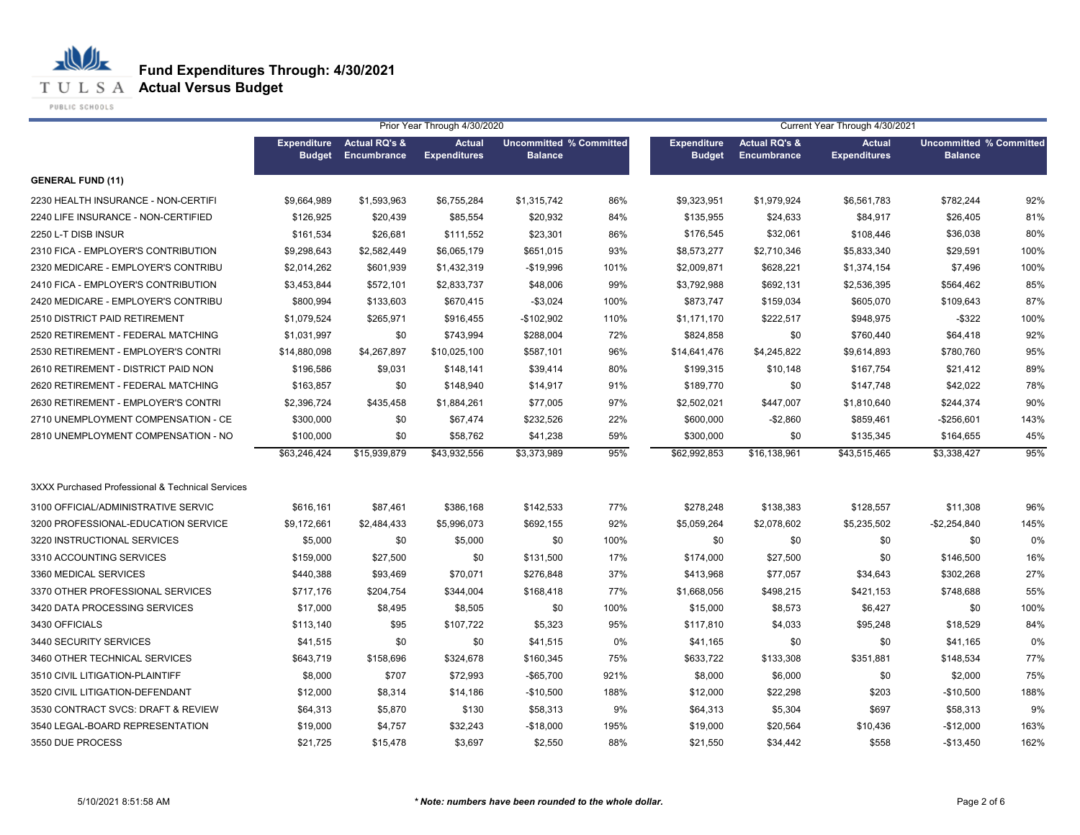**T U L S A Actual Versus Budget** 

PUBLIC SCHOOLS

|                                                  |                                     |                                         | Prior Year Through 4/30/2020         |                                                  |      |                                     |                                         | Current Year Through 4/30/2021       |                                                  |      |
|--------------------------------------------------|-------------------------------------|-----------------------------------------|--------------------------------------|--------------------------------------------------|------|-------------------------------------|-----------------------------------------|--------------------------------------|--------------------------------------------------|------|
|                                                  | <b>Expenditure</b><br><b>Budget</b> | <b>Actual RQ's &amp;</b><br>Encumbrance | <b>Actual</b><br><b>Expenditures</b> | <b>Uncommitted % Committed</b><br><b>Balance</b> |      | <b>Expenditure</b><br><b>Budget</b> | <b>Actual RQ's &amp;</b><br>Encumbrance | <b>Actual</b><br><b>Expenditures</b> | <b>Uncommitted % Committed</b><br><b>Balance</b> |      |
| <b>GENERAL FUND (11)</b>                         |                                     |                                         |                                      |                                                  |      |                                     |                                         |                                      |                                                  |      |
| 2230 HEALTH INSURANCE - NON-CERTIFI              | \$9,664,989                         | \$1,593,963                             | \$6,755,284                          | \$1,315,742                                      | 86%  | \$9,323,951                         | \$1,979,924                             | \$6,561,783                          | \$782,244                                        | 92%  |
| 2240 LIFE INSURANCE - NON-CERTIFIED              | \$126,925                           | \$20,439                                | \$85,554                             | \$20,932                                         | 84%  | \$135,955                           | \$24,633                                | \$84,917                             | \$26,405                                         | 81%  |
| 2250 L-T DISB INSUR                              | \$161,534                           | \$26,681                                | \$111,552                            | \$23,301                                         | 86%  | \$176,545                           | \$32,061                                | \$108,446                            | \$36,038                                         | 80%  |
| 2310 FICA - EMPLOYER'S CONTRIBUTION              | \$9,298,643                         | \$2,582,449                             | \$6,065,179                          | \$651,015                                        | 93%  | \$8,573,277                         | \$2,710,346                             | \$5,833,340                          | \$29,591                                         | 100% |
| 2320 MEDICARE - EMPLOYER'S CONTRIBU              | \$2,014,262                         | \$601,939                               | \$1,432,319                          | $-$19,996$                                       | 101% | \$2,009,871                         | \$628,221                               | \$1,374,154                          | \$7,496                                          | 100% |
| 2410 FICA - EMPLOYER'S CONTRIBUTION              | \$3,453,844                         | \$572,101                               | \$2,833,737                          | \$48,006                                         | 99%  | \$3,792,988                         | \$692,131                               | \$2,536,395                          | \$564,462                                        | 85%  |
| 2420 MEDICARE - EMPLOYER'S CONTRIBU              | \$800,994                           | \$133,603                               | \$670,415                            | $-$3,024$                                        | 100% | \$873,747                           | \$159,034                               | \$605,070                            | \$109,643                                        | 87%  |
| 2510 DISTRICT PAID RETIREMENT                    | \$1,079,524                         | \$265,971                               | \$916,455                            | -\$102,902                                       | 110% | \$1,171,170                         | \$222,517                               | \$948,975                            | $-$ \$322                                        | 100% |
| 2520 RETIREMENT - FEDERAL MATCHING               | \$1,031,997                         | \$0                                     | \$743,994                            | \$288,004                                        | 72%  | \$824,858                           | \$0                                     | \$760,440                            | \$64,418                                         | 92%  |
| 2530 RETIREMENT - EMPLOYER'S CONTRI              | \$14,880,098                        | \$4,267,897                             | \$10,025,100                         | \$587,101                                        | 96%  | \$14,641,476                        | \$4,245,822                             | \$9,614,893                          | \$780,760                                        | 95%  |
| 2610 RETIREMENT - DISTRICT PAID NON              | \$196,586                           | \$9,031                                 | \$148,141                            | \$39,414                                         | 80%  | \$199,315                           | \$10,148                                | \$167,754                            | \$21,412                                         | 89%  |
| 2620 RETIREMENT - FEDERAL MATCHING               | \$163,857                           | \$0                                     | \$148,940                            | \$14,917                                         | 91%  | \$189,770                           | \$0                                     | \$147,748                            | \$42,022                                         | 78%  |
| 2630 RETIREMENT - EMPLOYER'S CONTRI              | \$2,396,724                         | \$435,458                               | \$1,884,261                          | \$77,005                                         | 97%  | \$2,502,021                         | \$447,007                               | \$1,810,640                          | \$244,374                                        | 90%  |
| 2710 UNEMPLOYMENT COMPENSATION - CE              | \$300,000                           | \$0                                     | \$67,474                             | \$232,526                                        | 22%  | \$600,000                           | $-$2,860$                               | \$859,461                            | $-$256,601$                                      | 143% |
| 2810 UNEMPLOYMENT COMPENSATION - NO              | \$100,000                           | \$0                                     | \$58,762                             | \$41,238                                         | 59%  | \$300,000                           | \$0                                     | \$135,345                            | \$164,655                                        | 45%  |
|                                                  | \$63,246,424                        | \$15,939,879                            | \$43.932.556                         | \$3.373.989                                      | 95%  | \$62,992,853                        | \$16,138,961                            | \$43.515.465                         | \$3.338.427                                      | 95%  |
| 3XXX Purchased Professional & Technical Services |                                     |                                         |                                      |                                                  |      |                                     |                                         |                                      |                                                  |      |
| 3100 OFFICIAL/ADMINISTRATIVE SERVIC              | \$616,161                           | \$87,461                                | \$386,168                            | \$142,533                                        | 77%  | \$278,248                           | \$138,383                               | \$128,557                            | \$11,308                                         | 96%  |
| 3200 PROFESSIONAL-EDUCATION SERVICE              | \$9,172,661                         | \$2,484,433                             | \$5,996,073                          | \$692,155                                        | 92%  | \$5,059,264                         | \$2,078,602                             | \$5,235,502                          | $-$2,254,840$                                    | 145% |
| 3220 INSTRUCTIONAL SERVICES                      | \$5,000                             | \$0                                     | \$5,000                              | \$0                                              | 100% | \$0                                 | \$0                                     | \$0                                  | \$0                                              | 0%   |
| 3310 ACCOUNTING SERVICES                         | \$159,000                           | \$27,500                                | \$0                                  | \$131,500                                        | 17%  | \$174,000                           | \$27,500                                | \$0                                  | \$146,500                                        | 16%  |
| 3360 MEDICAL SERVICES                            | \$440,388                           | \$93,469                                | \$70,071                             | \$276,848                                        | 37%  | \$413,968                           | \$77,057                                | \$34,643                             | \$302,268                                        | 27%  |
| 3370 OTHER PROFESSIONAL SERVICES                 | \$717,176                           | \$204,754                               | \$344,004                            | \$168,418                                        | 77%  | \$1,668,056                         | \$498,215                               | \$421,153                            | \$748,688                                        | 55%  |
| 3420 DATA PROCESSING SERVICES                    | \$17,000                            | \$8,495                                 | \$8,505                              | \$0                                              | 100% | \$15,000                            | \$8,573                                 | \$6,427                              | \$0                                              | 100% |
| 3430 OFFICIALS                                   | \$113,140                           | \$95                                    | \$107,722                            | \$5,323                                          | 95%  | \$117,810                           | \$4,033                                 | \$95,248                             | \$18,529                                         | 84%  |
| 3440 SECURITY SERVICES                           | \$41,515                            | \$0                                     | \$0                                  | \$41,515                                         | 0%   | \$41,165                            | \$0                                     | \$0                                  | \$41,165                                         | 0%   |
| 3460 OTHER TECHNICAL SERVICES                    | \$643,719                           | \$158,696                               | \$324,678                            | \$160,345                                        | 75%  | \$633,722                           | \$133,308                               | \$351,881                            | \$148,534                                        | 77%  |
| 3510 CIVIL LITIGATION-PLAINTIFF                  | \$8,000                             | \$707                                   | \$72,993                             | $-$ \$65,700                                     | 921% | \$8,000                             | \$6,000                                 | \$0                                  | \$2,000                                          | 75%  |
| 3520 CIVIL LITIGATION-DEFENDANT                  | \$12,000                            | \$8,314                                 | \$14,186                             | $-$10,500$                                       | 188% | \$12,000                            | \$22,298                                | \$203                                | $-$10,500$                                       | 188% |
| 3530 CONTRACT SVCS: DRAFT & REVIEW               | \$64,313                            | \$5,870                                 | \$130                                | \$58,313                                         | 9%   | \$64,313                            | \$5,304                                 | \$697                                | \$58,313                                         | 9%   |
| 3540 LEGAL-BOARD REPRESENTATION                  | \$19,000                            | \$4,757                                 | \$32,243                             | $-$18,000$                                       | 195% | \$19,000                            | \$20,564                                | \$10,436                             | $-$12,000$                                       | 163% |
| 3550 DUE PROCESS                                 | \$21,725                            | \$15,478                                | \$3,697                              | \$2,550                                          | 88%  | \$21,550                            | \$34,442                                | \$558                                | $-$13,450$                                       | 162% |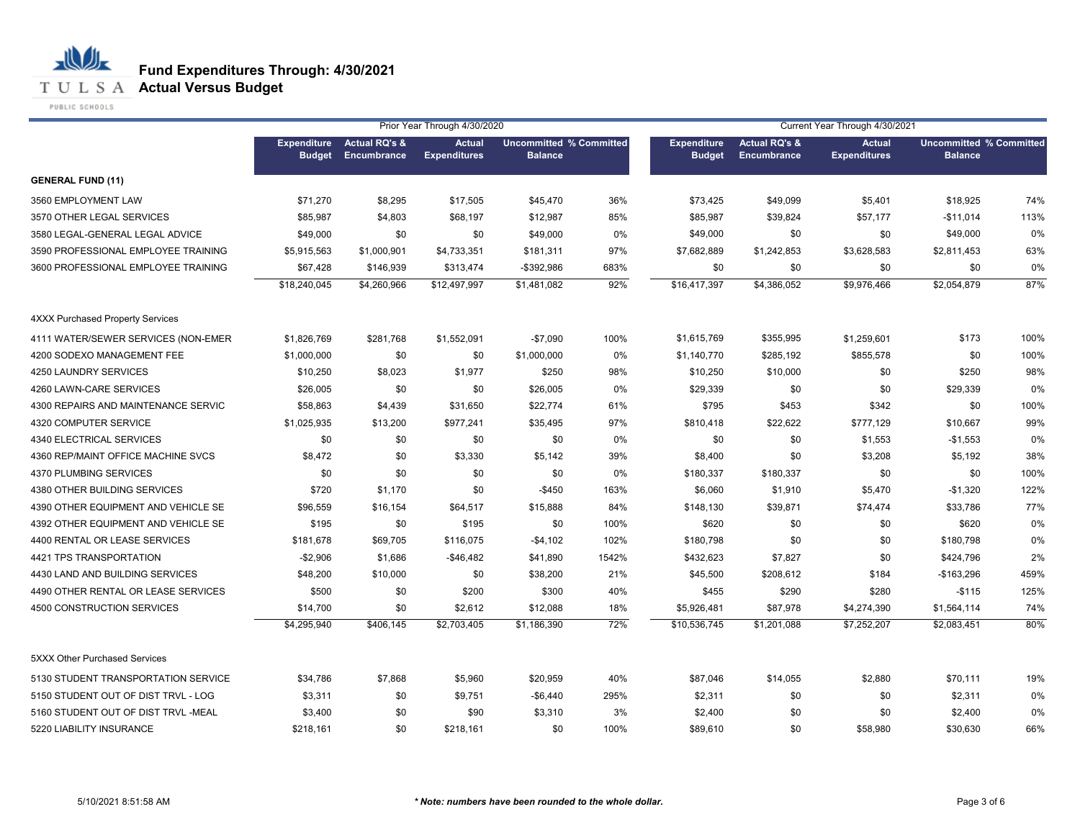**T U L S A Actual Versus Budget** 

PUBLIC SCHOOLS

|                                     |                                     |                                         | Prior Year Through 4/30/2020         |                                                  |       |                                     |                                         | Current Year Through 4/30/2021       |                                                  |      |
|-------------------------------------|-------------------------------------|-----------------------------------------|--------------------------------------|--------------------------------------------------|-------|-------------------------------------|-----------------------------------------|--------------------------------------|--------------------------------------------------|------|
|                                     | <b>Expenditure</b><br><b>Budget</b> | <b>Actual RQ's &amp;</b><br>Encumbrance | <b>Actual</b><br><b>Expenditures</b> | <b>Uncommitted % Committed</b><br><b>Balance</b> |       | <b>Expenditure</b><br><b>Budget</b> | <b>Actual RQ's &amp;</b><br>Encumbrance | <b>Actual</b><br><b>Expenditures</b> | <b>Uncommitted % Committed</b><br><b>Balance</b> |      |
| <b>GENERAL FUND (11)</b>            |                                     |                                         |                                      |                                                  |       |                                     |                                         |                                      |                                                  |      |
| 3560 EMPLOYMENT LAW                 | \$71,270                            | \$8,295                                 | \$17,505                             | \$45,470                                         | 36%   | \$73,425                            | \$49,099                                | \$5,401                              | \$18,925                                         | 74%  |
| 3570 OTHER LEGAL SERVICES           | \$85,987                            | \$4,803                                 | \$68,197                             | \$12,987                                         | 85%   | \$85,987                            | \$39,824                                | \$57,177                             | $-$11,014$                                       | 113% |
| 3580 LEGAL-GENERAL LEGAL ADVICE     | \$49,000                            | \$0                                     | \$0                                  | \$49,000                                         | 0%    | \$49,000                            | \$0                                     | \$0                                  | \$49,000                                         | 0%   |
| 3590 PROFESSIONAL EMPLOYEE TRAINING | \$5,915,563                         | \$1,000,901                             | \$4,733,351                          | \$181,311                                        | 97%   | \$7,682,889                         | \$1,242,853                             | \$3,628,583                          | \$2,811,453                                      | 63%  |
| 3600 PROFESSIONAL EMPLOYEE TRAINING | \$67,428                            | \$146,939                               | \$313,474                            | -\$392,986                                       | 683%  | \$0                                 | \$0                                     | \$0                                  | \$0                                              | 0%   |
|                                     | \$18,240,045                        | \$4,260,966                             | \$12,497,997                         | \$1,481,082                                      | 92%   | \$16,417,397                        | \$4,386,052                             | \$9,976,466                          | \$2,054,879                                      | 87%  |
| 4XXX Purchased Property Services    |                                     |                                         |                                      |                                                  |       |                                     |                                         |                                      |                                                  |      |
| 4111 WATER/SEWER SERVICES (NON-EMER | \$1,826,769                         | \$281,768                               | \$1,552,091                          | $-$7,090$                                        | 100%  | \$1,615,769                         | \$355,995                               | \$1,259,601                          | \$173                                            | 100% |
| 4200 SODEXO MANAGEMENT FEE          | \$1,000,000                         | \$0                                     | \$0                                  | \$1,000,000                                      | 0%    | \$1,140,770                         | \$285,192                               | \$855,578                            | \$0                                              | 100% |
| 4250 LAUNDRY SERVICES               | \$10,250                            | \$8,023                                 | \$1,977                              | \$250                                            | 98%   | \$10,250                            | \$10,000                                | \$0                                  | \$250                                            | 98%  |
| 4260 LAWN-CARE SERVICES             | \$26,005                            | \$0                                     | \$0                                  | \$26,005                                         | 0%    | \$29,339                            | \$0                                     | \$0                                  | \$29,339                                         | 0%   |
| 4300 REPAIRS AND MAINTENANCE SERVIC | \$58,863                            | \$4,439                                 | \$31,650                             | \$22,774                                         | 61%   | \$795                               | \$453                                   | \$342                                | \$0                                              | 100% |
| 4320 COMPUTER SERVICE               | \$1,025,935                         | \$13,200                                | \$977,241                            | \$35,495                                         | 97%   | \$810,418                           | \$22,622                                | \$777,129                            | \$10,667                                         | 99%  |
| 4340 ELECTRICAL SERVICES            | \$0                                 | \$0                                     | \$0                                  | \$0                                              | 0%    | \$0                                 | \$0                                     | \$1,553                              | $-$1,553$                                        | 0%   |
| 4360 REP/MAINT OFFICE MACHINE SVCS  | \$8,472                             | \$0                                     | \$3,330                              | \$5,142                                          | 39%   | \$8,400                             | \$0                                     | \$3,208                              | \$5,192                                          | 38%  |
| 4370 PLUMBING SERVICES              | \$0                                 | \$0                                     | \$0                                  | \$0                                              | 0%    | \$180,337                           | \$180,337                               | \$0                                  | \$0                                              | 100% |
| 4380 OTHER BUILDING SERVICES        | \$720                               | \$1,170                                 | \$0                                  | $-$450$                                          | 163%  | \$6,060                             | \$1,910                                 | \$5,470                              | $-$1,320$                                        | 122% |
| 4390 OTHER EQUIPMENT AND VEHICLE SE | \$96,559                            | \$16,154                                | \$64,517                             | \$15,888                                         | 84%   | \$148,130                           | \$39,871                                | \$74,474                             | \$33,786                                         | 77%  |
| 4392 OTHER EQUIPMENT AND VEHICLE SE | \$195                               | \$0                                     | \$195                                | \$0                                              | 100%  | \$620                               | \$0                                     | \$0                                  | \$620                                            | 0%   |
| 4400 RENTAL OR LEASE SERVICES       | \$181,678                           | \$69,705                                | \$116,075                            | $-$4,102$                                        | 102%  | \$180,798                           | \$0                                     | \$0                                  | \$180,798                                        | 0%   |
| 4421 TPS TRANSPORTATION             | $-$2,906$                           | \$1,686                                 | $-$46,482$                           | \$41,890                                         | 1542% | \$432,623                           | \$7,827                                 | \$0                                  | \$424,796                                        | 2%   |
| 4430 LAND AND BUILDING SERVICES     | \$48,200                            | \$10,000                                | \$0                                  | \$38,200                                         | 21%   | \$45,500                            | \$208,612                               | \$184                                | $-$163,296$                                      | 459% |
| 4490 OTHER RENTAL OR LEASE SERVICES | \$500                               | \$0                                     | \$200                                | \$300                                            | 40%   | \$455                               | \$290                                   | \$280                                | $-$115$                                          | 125% |
| 4500 CONSTRUCTION SERVICES          | \$14,700                            | \$0                                     | \$2,612                              | \$12,088                                         | 18%   | \$5,926,481                         | \$87,978                                | \$4,274,390                          | \$1,564,114                                      | 74%  |
|                                     | \$4,295,940                         | \$406,145                               | \$2,703,405                          | \$1,186,390                                      | 72%   | \$10,536,745                        | \$1,201,088                             | \$7,252,207                          | \$2,083,451                                      | 80%  |
| 5XXX Other Purchased Services       |                                     |                                         |                                      |                                                  |       |                                     |                                         |                                      |                                                  |      |
| 5130 STUDENT TRANSPORTATION SERVICE | \$34,786                            | \$7,868                                 | \$5,960                              | \$20,959                                         | 40%   | \$87,046                            | \$14,055                                | \$2,880                              | \$70,111                                         | 19%  |
| 5150 STUDENT OUT OF DIST TRVL - LOG | \$3,311                             | \$0                                     | \$9,751                              | $-$ \$6,440                                      | 295%  | \$2,311                             | \$0                                     | \$0                                  | \$2,311                                          | 0%   |
| 5160 STUDENT OUT OF DIST TRVL -MEAL | \$3,400                             | \$0                                     | \$90                                 | \$3,310                                          | 3%    | \$2,400                             | \$0                                     | \$0                                  | \$2,400                                          | 0%   |
| 5220 LIABILITY INSURANCE            | \$218,161                           | \$0                                     | \$218,161                            | \$0                                              | 100%  | \$89,610                            | \$0                                     | \$58,980                             | \$30,630                                         | 66%  |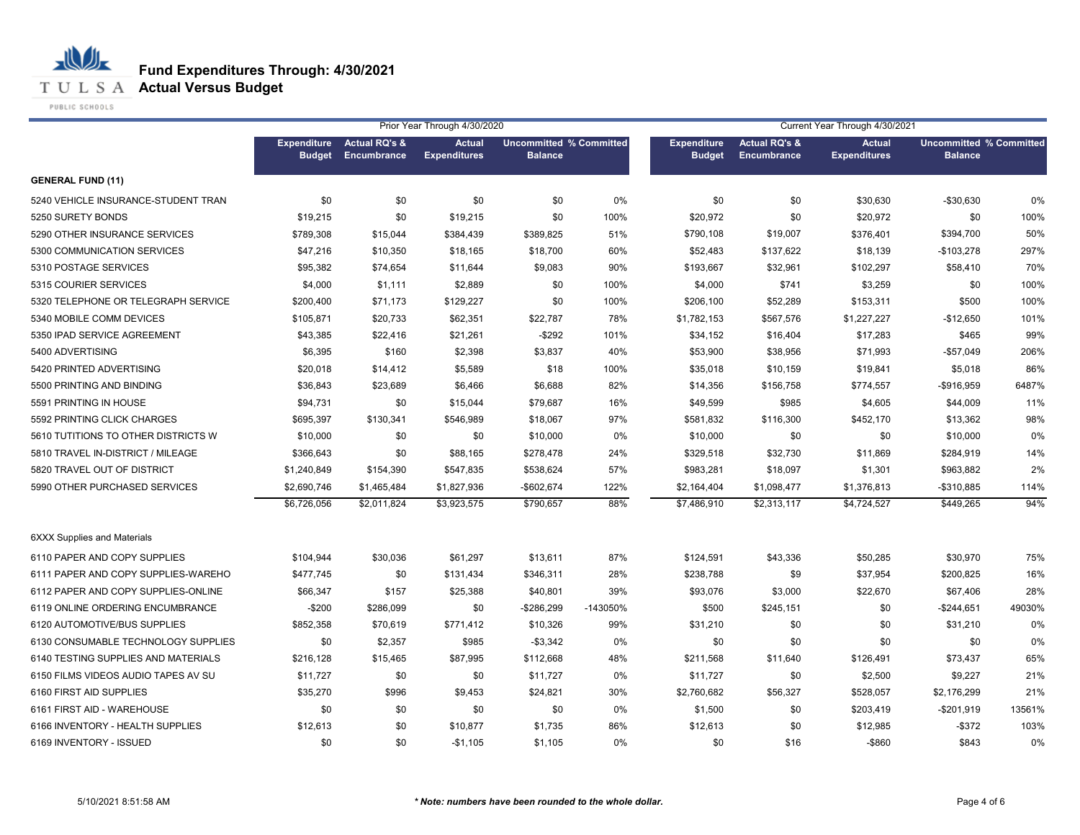**T U L S A Actual Versus Budget** 

PUBLIC SCHOOLS

|                                     |                    |                          | Prior Year Through 4/30/2020 |                                |          | Current Year Through 4/30/2021 |                          |                     |                                |        |
|-------------------------------------|--------------------|--------------------------|------------------------------|--------------------------------|----------|--------------------------------|--------------------------|---------------------|--------------------------------|--------|
|                                     | <b>Expenditure</b> | <b>Actual RQ's &amp;</b> | <b>Actual</b>                | <b>Uncommitted % Committed</b> |          | <b>Expenditure</b>             | <b>Actual RQ's &amp;</b> | <b>Actual</b>       | <b>Uncommitted % Committed</b> |        |
|                                     | <b>Budget</b>      | Encumbrance              | <b>Expenditures</b>          | <b>Balance</b>                 |          | <b>Budget</b>                  | <b>Encumbrance</b>       | <b>Expenditures</b> | <b>Balance</b>                 |        |
| <b>GENERAL FUND (11)</b>            |                    |                          |                              |                                |          |                                |                          |                     |                                |        |
| 5240 VEHICLE INSURANCE-STUDENT TRAN | \$0                | \$0                      | \$0                          | \$0                            | 0%       | \$0                            | \$0                      | \$30,630            | $-$30,630$                     | 0%     |
| 5250 SURETY BONDS                   | \$19,215           | \$0                      | \$19,215                     | \$0                            | 100%     | \$20,972                       | \$0                      | \$20,972            | \$0                            | 100%   |
| 5290 OTHER INSURANCE SERVICES       | \$789,308          | \$15,044                 | \$384,439                    | \$389,825                      | 51%      | \$790,108                      | \$19,007                 | \$376,401           | \$394,700                      | 50%    |
| 5300 COMMUNICATION SERVICES         | \$47,216           | \$10,350                 | \$18,165                     | \$18,700                       | 60%      | \$52,483                       | \$137,622                | \$18,139            | $-$103,278$                    | 297%   |
| 5310 POSTAGE SERVICES               | \$95,382           | \$74,654                 | \$11,644                     | \$9,083                        | 90%      | \$193,667                      | \$32,961                 | \$102,297           | \$58,410                       | 70%    |
| 5315 COURIER SERVICES               | \$4,000            | \$1,111                  | \$2,889                      | \$0                            | 100%     | \$4,000                        | \$741                    | \$3,259             | \$0                            | 100%   |
| 5320 TELEPHONE OR TELEGRAPH SERVICE | \$200,400          | \$71,173                 | \$129,227                    | \$0                            | 100%     | \$206,100                      | \$52,289                 | \$153,311           | \$500                          | 100%   |
| 5340 MOBILE COMM DEVICES            | \$105,871          | \$20,733                 | \$62,351                     | \$22,787                       | 78%      | \$1,782,153                    | \$567,576                | \$1,227,227         | $-$12,650$                     | 101%   |
| 5350 IPAD SERVICE AGREEMENT         | \$43,385           | \$22,416                 | \$21,261                     | $-$292$                        | 101%     | \$34,152                       | \$16,404                 | \$17,283            | \$465                          | 99%    |
| 5400 ADVERTISING                    | \$6,395            | \$160                    | \$2,398                      | \$3,837                        | 40%      | \$53,900                       | \$38,956                 | \$71,993            | $-$57,049$                     | 206%   |
| 5420 PRINTED ADVERTISING            | \$20,018           | \$14,412                 | \$5,589                      | \$18                           | 100%     | \$35,018                       | \$10,159                 | \$19,841            | \$5,018                        | 86%    |
| 5500 PRINTING AND BINDING           | \$36,843           | \$23,689                 | \$6,466                      | \$6,688                        | 82%      | \$14,356                       | \$156,758                | \$774,557           | -\$916,959                     | 6487%  |
| 5591 PRINTING IN HOUSE              | \$94,731           | \$0                      | \$15,044                     | \$79,687                       | 16%      | \$49,599                       | \$985                    | \$4,605             | \$44,009                       | 11%    |
| 5592 PRINTING CLICK CHARGES         | \$695,397          | \$130,341                | \$546,989                    | \$18,067                       | 97%      | \$581,832                      | \$116,300                | \$452,170           | \$13,362                       | 98%    |
| 5610 TUTITIONS TO OTHER DISTRICTS W | \$10,000           | \$0                      | \$0                          | \$10,000                       | 0%       | \$10,000                       | \$0                      | \$0                 | \$10,000                       | 0%     |
| 5810 TRAVEL IN-DISTRICT / MILEAGE   | \$366,643          | \$0                      | \$88,165                     | \$278,478                      | 24%      | \$329,518                      | \$32,730                 | \$11,869            | \$284,919                      | 14%    |
| 5820 TRAVEL OUT OF DISTRICT         | \$1,240,849        | \$154,390                | \$547,835                    | \$538,624                      | 57%      | \$983,281                      | \$18,097                 | \$1,301             | \$963,882                      | 2%     |
| 5990 OTHER PURCHASED SERVICES       | \$2,690,746        | \$1,465,484              | \$1,827,936                  | $-$602,674$                    | 122%     | \$2,164,404                    | \$1,098,477              | \$1,376,813         | -\$310,885                     | 114%   |
|                                     | \$6,726,056        | \$2,011,824              | \$3,923,575                  | \$790,657                      | 88%      | \$7,486,910                    | \$2,313,117              | \$4,724,527         | \$449,265                      | 94%    |
| <b>6XXX Supplies and Materials</b>  |                    |                          |                              |                                |          |                                |                          |                     |                                |        |
| 6110 PAPER AND COPY SUPPLIES        | \$104,944          | \$30,036                 | \$61,297                     | \$13,611                       | 87%      | \$124,591                      | \$43,336                 | \$50,285            | \$30,970                       | 75%    |
| 6111 PAPER AND COPY SUPPLIES-WAREHO | \$477,745          | \$0                      | \$131,434                    | \$346,311                      | 28%      | \$238,788                      | \$9                      | \$37,954            | \$200,825                      | 16%    |
| 6112 PAPER AND COPY SUPPLIES-ONLINE | \$66,347           | \$157                    | \$25,388                     | \$40,801                       | 39%      | \$93,076                       | \$3,000                  | \$22,670            | \$67,406                       | 28%    |
| 6119 ONLINE ORDERING ENCUMBRANCE    | $-$200$            | \$286,099                | \$0                          | -\$286,299                     | -143050% | \$500                          | \$245,151                | \$0                 | $-$244,651$                    | 49030% |
| 6120 AUTOMOTIVE/BUS SUPPLIES        | \$852,358          | \$70,619                 | \$771,412                    | \$10,326                       | 99%      | \$31,210                       | \$0                      | \$0                 | \$31,210                       | 0%     |
| 6130 CONSUMABLE TECHNOLOGY SUPPLIES | \$0                | \$2,357                  | \$985                        | $-$3,342$                      | 0%       | \$0                            | \$0                      | \$0                 | \$0                            | 0%     |
| 6140 TESTING SUPPLIES AND MATERIALS | \$216,128          | \$15,465                 | \$87,995                     | \$112,668                      | 48%      | \$211,568                      | \$11,640                 | \$126,491           | \$73,437                       | 65%    |
| 6150 FILMS VIDEOS AUDIO TAPES AV SU | \$11,727           | \$0                      | \$0                          | \$11,727                       | 0%       | \$11,727                       | \$0                      | \$2,500             | \$9,227                        | 21%    |
| 6160 FIRST AID SUPPLIES             | \$35,270           | \$996                    | \$9,453                      | \$24,821                       | 30%      | \$2,760,682                    | \$56,327                 | \$528,057           | \$2,176,299                    | 21%    |
| 6161 FIRST AID - WAREHOUSE          | \$0                | \$0                      | \$0                          | \$0                            | 0%       | \$1,500                        | \$0                      | \$203,419           | $-$201,919$                    | 13561% |
| 6166 INVENTORY - HEALTH SUPPLIES    | \$12,613           | \$0                      | \$10,877                     | \$1,735                        | 86%      | \$12,613                       | \$0                      | \$12,985            | $-$ \$372                      | 103%   |
| 6169 INVENTORY - ISSUED             | \$0                | \$0                      | $-$1,105$                    | \$1,105                        | 0%       | \$0                            | \$16                     | -\$860              | \$843                          | 0%     |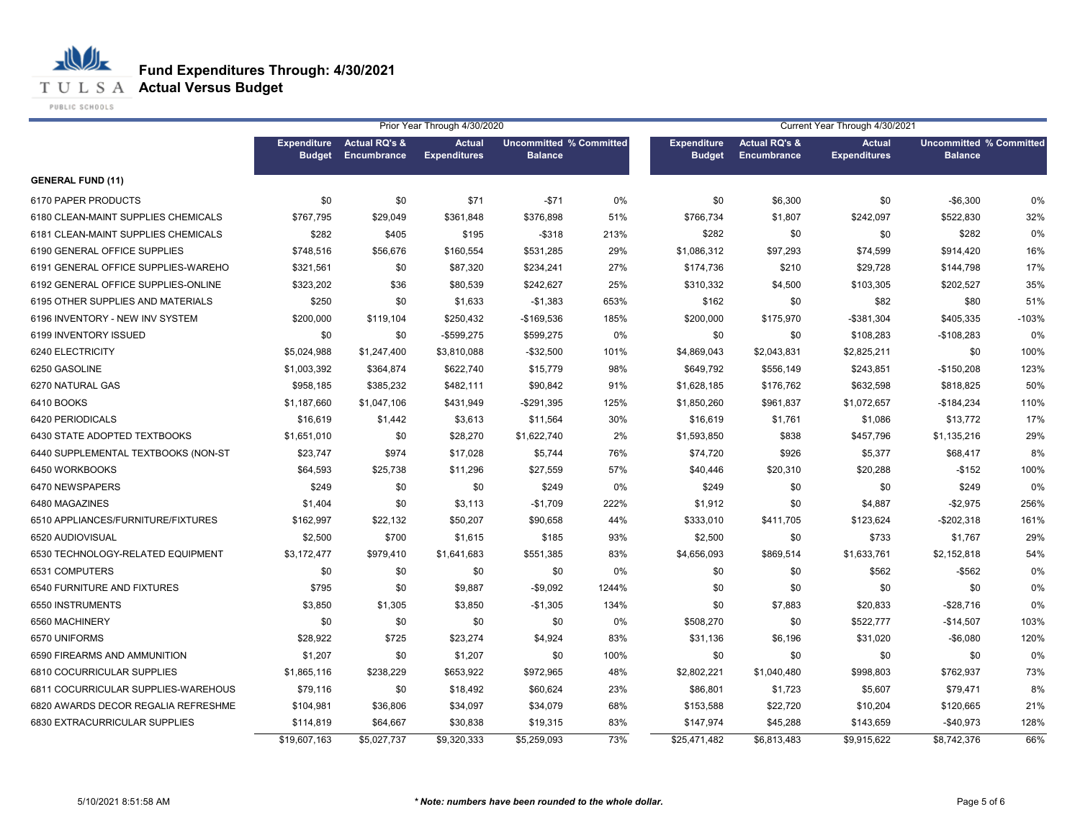**T U L S A Actual Versus Budget** 

PUBLIC SCHOOLS

|                                     | Prior Year Through 4/30/2020        |                                         |                                      |                                                  |       | Current Year Through 4/30/2021      |                                                |                                      |                                                  |         |
|-------------------------------------|-------------------------------------|-----------------------------------------|--------------------------------------|--------------------------------------------------|-------|-------------------------------------|------------------------------------------------|--------------------------------------|--------------------------------------------------|---------|
|                                     | <b>Expenditure</b><br><b>Budget</b> | <b>Actual RQ's &amp;</b><br>Encumbrance | <b>Actual</b><br><b>Expenditures</b> | <b>Uncommitted % Committed</b><br><b>Balance</b> |       | <b>Expenditure</b><br><b>Budget</b> | <b>Actual RQ's &amp;</b><br><b>Encumbrance</b> | <b>Actual</b><br><b>Expenditures</b> | <b>Uncommitted % Committed</b><br><b>Balance</b> |         |
| <b>GENERAL FUND (11)</b>            |                                     |                                         |                                      |                                                  |       |                                     |                                                |                                      |                                                  |         |
| 6170 PAPER PRODUCTS                 | \$0                                 | \$0                                     | \$71                                 | $-$71$                                           | 0%    | \$0                                 | \$6,300                                        | \$0                                  | $-$6,300$                                        | 0%      |
| 6180 CLEAN-MAINT SUPPLIES CHEMICALS | \$767,795                           | \$29,049                                | \$361,848                            | \$376,898                                        | 51%   | \$766,734                           | \$1,807                                        | \$242,097                            | \$522,830                                        | 32%     |
| 6181 CLEAN-MAINT SUPPLIES CHEMICALS | \$282                               | \$405                                   | \$195                                | $-$ \$318                                        | 213%  | \$282                               | \$0                                            | \$0                                  | \$282                                            | 0%      |
| 6190 GENERAL OFFICE SUPPLIES        | \$748,516                           | \$56,676                                | \$160,554                            | \$531,285                                        | 29%   | \$1,086,312                         | \$97,293                                       | \$74,599                             | \$914,420                                        | 16%     |
| 6191 GENERAL OFFICE SUPPLIES-WAREHO | \$321,561                           | \$0                                     | \$87,320                             | \$234,241                                        | 27%   | \$174,736                           | \$210                                          | \$29,728                             | \$144,798                                        | 17%     |
| 6192 GENERAL OFFICE SUPPLIES-ONLINE | \$323,202                           | \$36                                    | \$80,539                             | \$242,627                                        | 25%   | \$310,332                           | \$4,500                                        | \$103,305                            | \$202,527                                        | 35%     |
| 6195 OTHER SUPPLIES AND MATERIALS   | \$250                               | \$0                                     | \$1,633                              | $-$1,383$                                        | 653%  | \$162                               | \$0                                            | \$82                                 | \$80                                             | 51%     |
| 6196 INVENTORY - NEW INV SYSTEM     | \$200,000                           | \$119,104                               | \$250,432                            | -\$169,536                                       | 185%  | \$200,000                           | \$175,970                                      | $-$ \$381,304                        | \$405,335                                        | $-103%$ |
| 6199 INVENTORY ISSUED               | \$0                                 | \$0                                     | $-$599,275$                          | \$599,275                                        | 0%    | \$0                                 | \$0                                            | \$108,283                            | $-$108,283$                                      | 0%      |
| 6240 ELECTRICITY                    | \$5,024,988                         | \$1,247,400                             | \$3,810,088                          | $-$32,500$                                       | 101%  | \$4,869,043                         | \$2,043,831                                    | \$2,825,211                          | \$0                                              | 100%    |
| 6250 GASOLINE                       | \$1,003,392                         | \$364,874                               | \$622,740                            | \$15,779                                         | 98%   | \$649,792                           | \$556,149                                      | \$243,851                            | $-$150,208$                                      | 123%    |
| 6270 NATURAL GAS                    | \$958.185                           | \$385,232                               | \$482,111                            | \$90,842                                         | 91%   | \$1,628,185                         | \$176,762                                      | \$632,598                            | \$818.825                                        | 50%     |
| 6410 BOOKS                          | \$1,187,660                         | \$1,047,106                             | \$431,949                            | $-$291,395$                                      | 125%  | \$1,850,260                         | \$961,837                                      | \$1,072,657                          | $-$184,234$                                      | 110%    |
| 6420 PERIODICALS                    | \$16,619                            | \$1,442                                 | \$3,613                              | \$11,564                                         | 30%   | \$16,619                            | \$1,761                                        | \$1,086                              | \$13,772                                         | 17%     |
| 6430 STATE ADOPTED TEXTBOOKS        | \$1,651,010                         | \$0                                     | \$28,270                             | \$1,622,740                                      | 2%    | \$1,593,850                         | \$838                                          | \$457,796                            | \$1,135,216                                      | 29%     |
| 6440 SUPPLEMENTAL TEXTBOOKS (NON-ST | \$23,747                            | \$974                                   | \$17,028                             | \$5,744                                          | 76%   | \$74,720                            | \$926                                          | \$5,377                              | \$68,417                                         | 8%      |
| 6450 WORKBOOKS                      | \$64,593                            | \$25,738                                | \$11,296                             | \$27,559                                         | 57%   | \$40,446                            | \$20,310                                       | \$20,288                             | $-$152$                                          | 100%    |
| 6470 NEWSPAPERS                     | \$249                               | \$0                                     | \$0                                  | \$249                                            | 0%    | \$249                               | \$0                                            | \$0                                  | \$249                                            | 0%      |
| 6480 MAGAZINES                      | \$1,404                             | \$0                                     | \$3,113                              | $-$1,709$                                        | 222%  | \$1,912                             | \$0                                            | \$4,887                              | $-$2,975$                                        | 256%    |
| 6510 APPLIANCES/FURNITURE/FIXTURES  | \$162,997                           | \$22,132                                | \$50,207                             | \$90,658                                         | 44%   | \$333,010                           | \$411,705                                      | \$123,624                            | $-$202,318$                                      | 161%    |
| 6520 AUDIOVISUAL                    | \$2,500                             | \$700                                   | \$1,615                              | \$185                                            | 93%   | \$2,500                             | \$0                                            | \$733                                | \$1,767                                          | 29%     |
| 6530 TECHNOLOGY-RELATED EQUIPMENT   | \$3,172,477                         | \$979,410                               | \$1,641,683                          | \$551,385                                        | 83%   | \$4,656,093                         | \$869,514                                      | \$1,633,761                          | \$2,152,818                                      | 54%     |
| 6531 COMPUTERS                      | \$0                                 | \$0                                     | \$0                                  | \$0                                              | 0%    | \$0                                 | \$0                                            | \$562                                | $-$562$                                          | 0%      |
| 6540 FURNITURE AND FIXTURES         | \$795                               | \$0                                     | \$9,887                              | $-$9,092$                                        | 1244% | \$0                                 | \$0                                            | \$0                                  | \$0                                              | 0%      |
| 6550 INSTRUMENTS                    | \$3,850                             | \$1,305                                 | \$3,850                              | $-$1,305$                                        | 134%  | \$0                                 | \$7,883                                        | \$20,833                             | $-$28,716$                                       | 0%      |
| 6560 MACHINERY                      | \$0                                 | \$0                                     | \$0                                  | \$0                                              | 0%    | \$508,270                           | \$0                                            | \$522,777                            | $-$14,507$                                       | 103%    |
| 6570 UNIFORMS                       | \$28,922                            | \$725                                   | \$23,274                             | \$4,924                                          | 83%   | \$31,136                            | \$6,196                                        | \$31,020                             | $-$ \$6,080                                      | 120%    |
| 6590 FIREARMS AND AMMUNITION        | \$1,207                             | \$0                                     | \$1,207                              | \$0                                              | 100%  | \$0                                 | \$0                                            | \$0                                  | \$0                                              | 0%      |
| 6810 COCURRICULAR SUPPLIES          | \$1,865,116                         | \$238,229                               | \$653,922                            | \$972,965                                        | 48%   | \$2,802,221                         | \$1,040,480                                    | \$998,803                            | \$762,937                                        | 73%     |
| 6811 COCURRICULAR SUPPLIES-WAREHOUS | \$79,116                            | \$0                                     | \$18,492                             | \$60,624                                         | 23%   | \$86,801                            | \$1,723                                        | \$5,607                              | \$79,471                                         | 8%      |
| 6820 AWARDS DECOR REGALIA REFRESHME | \$104,981                           | \$36,806                                | \$34,097                             | \$34,079                                         | 68%   | \$153,588                           | \$22,720                                       | \$10,204                             | \$120,665                                        | 21%     |
| 6830 EXTRACURRICULAR SUPPLIES       | \$114,819                           | \$64,667                                | \$30,838                             | \$19,315                                         | 83%   | \$147,974                           | \$45,288                                       | \$143,659                            | $-$40,973$                                       | 128%    |
|                                     | \$19,607,163                        | \$5,027,737                             | \$9,320,333                          | \$5,259,093                                      | 73%   | \$25,471,482                        | \$6,813,483                                    | \$9,915,622                          | \$8,742,376                                      | 66%     |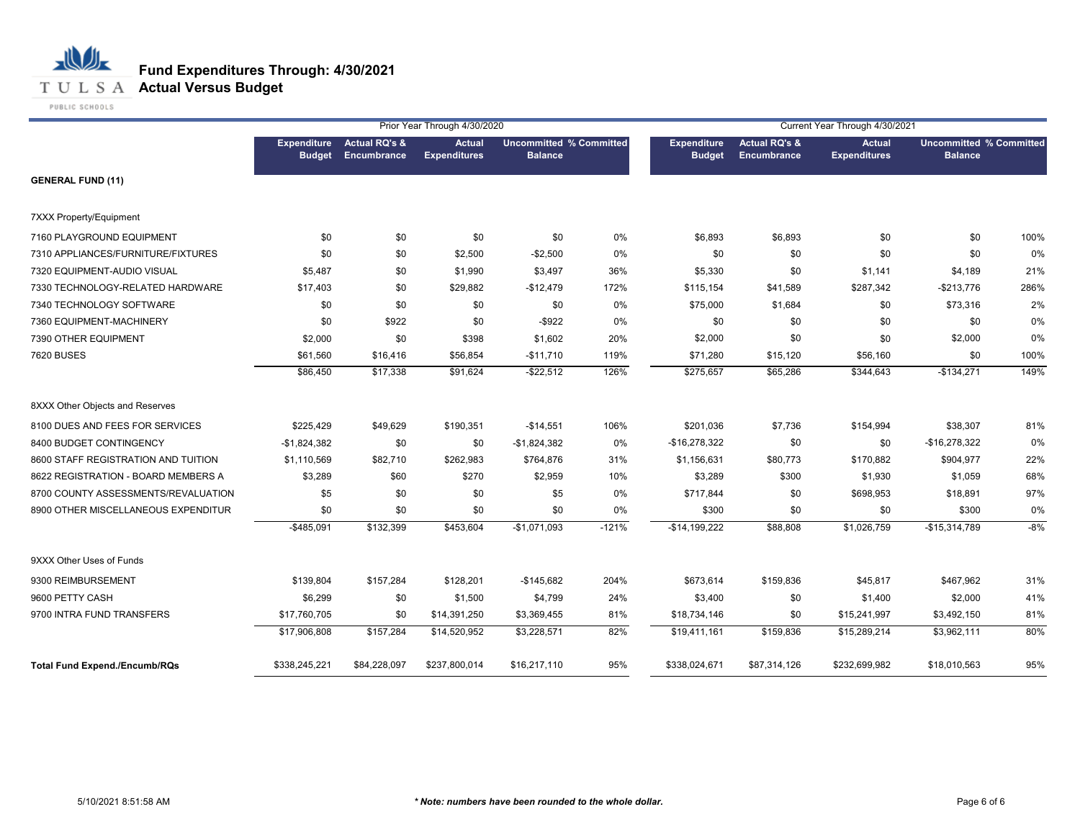

|                                      |                                     |                                         | Prior Year Through 4/30/2020         |                                                  |         | Current Year Through 4/30/2021      |                                         |                                      |                                                  |       |  |
|--------------------------------------|-------------------------------------|-----------------------------------------|--------------------------------------|--------------------------------------------------|---------|-------------------------------------|-----------------------------------------|--------------------------------------|--------------------------------------------------|-------|--|
|                                      | <b>Expenditure</b><br><b>Budget</b> | <b>Actual RQ's &amp;</b><br>Encumbrance | <b>Actual</b><br><b>Expenditures</b> | <b>Uncommitted % Committed</b><br><b>Balance</b> |         | <b>Expenditure</b><br><b>Budget</b> | <b>Actual RQ's &amp;</b><br>Encumbrance | <b>Actual</b><br><b>Expenditures</b> | <b>Uncommitted % Committed</b><br><b>Balance</b> |       |  |
| <b>GENERAL FUND (11)</b>             |                                     |                                         |                                      |                                                  |         |                                     |                                         |                                      |                                                  |       |  |
| 7XXX Property/Equipment              |                                     |                                         |                                      |                                                  |         |                                     |                                         |                                      |                                                  |       |  |
| 7160 PLAYGROUND EQUIPMENT            | \$0                                 | \$0                                     | \$0                                  | \$0                                              | 0%      | \$6,893                             | \$6,893                                 | \$0                                  | \$0                                              | 100%  |  |
| 7310 APPLIANCES/FURNITURE/FIXTURES   | \$0                                 | \$0                                     | \$2,500                              | $-$2,500$                                        | 0%      | \$0                                 | \$0                                     | \$0                                  | \$0                                              | 0%    |  |
| 7320 EQUIPMENT-AUDIO VISUAL          | \$5,487                             | \$0                                     | \$1,990                              | \$3,497                                          | 36%     | \$5,330                             | \$0                                     | \$1,141                              | \$4,189                                          | 21%   |  |
| 7330 TECHNOLOGY-RELATED HARDWARE     | \$17,403                            | \$0                                     | \$29,882                             | $-$12,479$                                       | 172%    | \$115,154                           | \$41,589                                | \$287,342                            | $-$213,776$                                      | 286%  |  |
| 7340 TECHNOLOGY SOFTWARE             | \$0                                 | \$0                                     | \$0                                  | \$0                                              | 0%      | \$75,000                            | \$1,684                                 | \$0                                  | \$73,316                                         | 2%    |  |
| 7360 EQUIPMENT-MACHINERY             | \$0                                 | \$922                                   | \$0                                  | $-$ \$922                                        | 0%      | \$0                                 | \$0                                     | \$0                                  | \$0                                              | 0%    |  |
| 7390 OTHER EQUIPMENT                 | \$2,000                             | \$0                                     | \$398                                | \$1,602                                          | 20%     | \$2,000                             | \$0                                     | \$0                                  | \$2,000                                          | 0%    |  |
| <b>7620 BUSES</b>                    | \$61,560                            | \$16,416                                | \$56,854                             | $-$11,710$                                       | 119%    | \$71,280                            | \$15,120                                | \$56,160                             | \$0                                              | 100%  |  |
|                                      | \$86,450                            | \$17,338                                | \$91,624                             | $-$ \$22,512                                     | 126%    | \$275,657                           | \$65,286                                | \$344,643                            | $-$134,271$                                      | 149%  |  |
| 8XXX Other Objects and Reserves      |                                     |                                         |                                      |                                                  |         |                                     |                                         |                                      |                                                  |       |  |
| 8100 DUES AND FEES FOR SERVICES      | \$225,429                           | \$49,629                                | \$190,351                            | $-$14,551$                                       | 106%    | \$201,036                           | \$7,736                                 | \$154,994                            | \$38,307                                         | 81%   |  |
| 8400 BUDGET CONTINGENCY              | $-$1,824,382$                       | \$0                                     | \$0                                  | $-$1,824,382$                                    | 0%      | $-$16,278,322$                      | \$0                                     | \$0                                  | $-$16,278,322$                                   | 0%    |  |
| 8600 STAFF REGISTRATION AND TUITION  | \$1,110,569                         | \$82,710                                | \$262,983                            | \$764,876                                        | 31%     | \$1,156,631                         | \$80,773                                | \$170,882                            | \$904,977                                        | 22%   |  |
| 8622 REGISTRATION - BOARD MEMBERS A  | \$3,289                             | \$60                                    | \$270                                | \$2,959                                          | 10%     | \$3,289                             | \$300                                   | \$1,930                              | \$1,059                                          | 68%   |  |
| 8700 COUNTY ASSESSMENTS/REVALUATION  | \$5                                 | \$0                                     | \$0                                  | \$5                                              | 0%      | \$717,844                           | \$0                                     | \$698,953                            | \$18,891                                         | 97%   |  |
| 8900 OTHER MISCELLANEOUS EXPENDITUR  | \$0                                 | \$0                                     | \$0                                  | \$0                                              | 0%      | \$300                               | \$0                                     | \$0                                  | \$300                                            | 0%    |  |
|                                      | $-$ \$485,091                       | \$132,399                               | \$453,604                            | $-$1,071,093$                                    | $-121%$ | $-$14,199,222$                      | \$88,808                                | \$1,026,759                          | $-$15,314,789$                                   | $-8%$ |  |
| 9XXX Other Uses of Funds             |                                     |                                         |                                      |                                                  |         |                                     |                                         |                                      |                                                  |       |  |
| 9300 REIMBURSEMENT                   | \$139,804                           | \$157,284                               | \$128,201                            | $-$145,682$                                      | 204%    | \$673,614                           | \$159,836                               | \$45,817                             | \$467,962                                        | 31%   |  |
| 9600 PETTY CASH                      | \$6,299                             | \$0                                     | \$1,500                              | \$4,799                                          | 24%     | \$3,400                             | \$0                                     | \$1,400                              | \$2,000                                          | 41%   |  |
| 9700 INTRA FUND TRANSFERS            | \$17,760,705                        | \$0                                     | \$14,391,250                         | \$3,369,455                                      | 81%     | \$18,734,146                        | \$0                                     | \$15,241,997                         | \$3,492,150                                      | 81%   |  |
|                                      | \$17,906,808                        | \$157,284                               | \$14,520,952                         | \$3,228,571                                      | 82%     | \$19,411,161                        | \$159,836                               | \$15,289,214                         | \$3,962,111                                      | 80%   |  |
| <b>Total Fund Expend./Encumb/RQs</b> | \$338,245,221                       | \$84,228,097                            | \$237,800,014                        | \$16,217,110                                     | 95%     | \$338,024,671                       | \$87,314,126                            | \$232,699,982                        | \$18,010,563                                     | 95%   |  |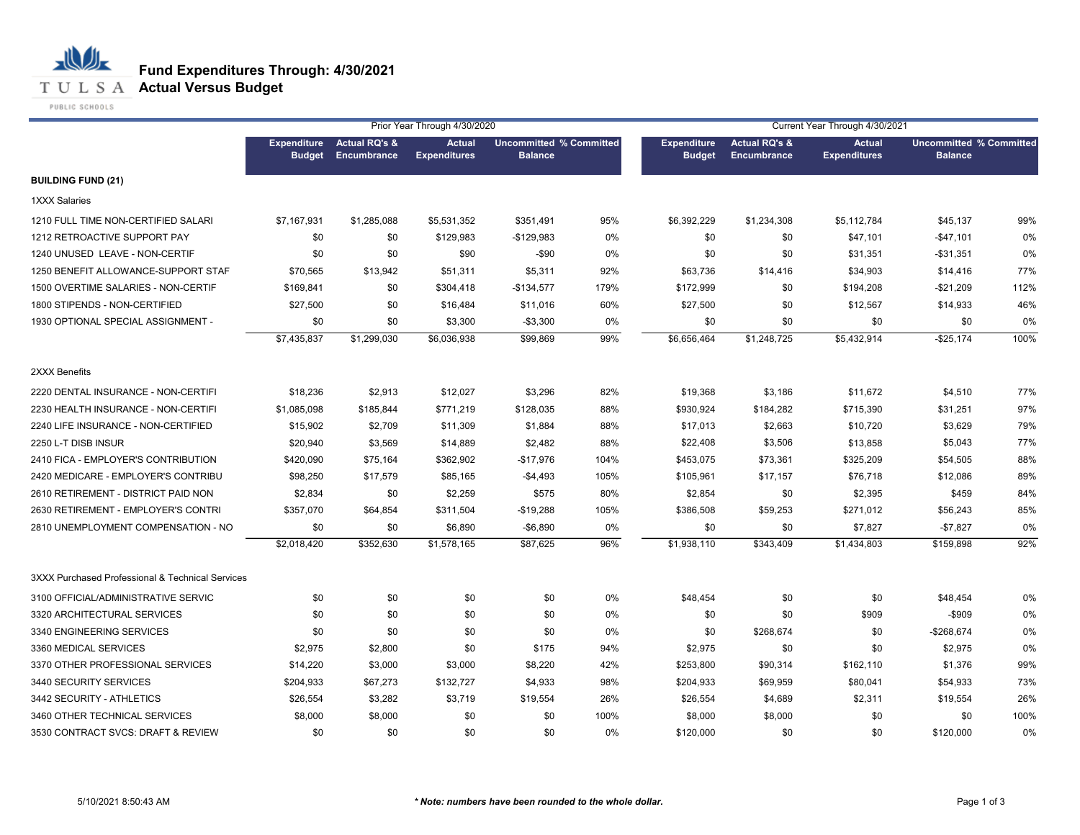#### **T U L S A Actual Versus Budget**

PUBLIC SCHOOLS

|                                                  | Prior Year Through 4/30/2020        |                                                |                                      |                                                  |      |                                     |                                                | Current Year Through 4/30/2021       |                                                  |      |
|--------------------------------------------------|-------------------------------------|------------------------------------------------|--------------------------------------|--------------------------------------------------|------|-------------------------------------|------------------------------------------------|--------------------------------------|--------------------------------------------------|------|
|                                                  | <b>Expenditure</b><br><b>Budget</b> | <b>Actual RQ's &amp;</b><br><b>Encumbrance</b> | <b>Actual</b><br><b>Expenditures</b> | <b>Uncommitted % Committed</b><br><b>Balance</b> |      | <b>Expenditure</b><br><b>Budget</b> | <b>Actual RQ's &amp;</b><br><b>Encumbrance</b> | <b>Actual</b><br><b>Expenditures</b> | <b>Uncommitted % Committed</b><br><b>Balance</b> |      |
| <b>BUILDING FUND (21)</b>                        |                                     |                                                |                                      |                                                  |      |                                     |                                                |                                      |                                                  |      |
| <b>1XXX Salaries</b>                             |                                     |                                                |                                      |                                                  |      |                                     |                                                |                                      |                                                  |      |
| 1210 FULL TIME NON-CERTIFIED SALARI              | \$7,167,931                         | \$1,285,088                                    | \$5,531,352                          | \$351,491                                        | 95%  | \$6,392,229                         | \$1,234,308                                    | \$5,112,784                          | \$45,137                                         | 99%  |
| 1212 RETROACTIVE SUPPORT PAY                     | \$0                                 | \$0                                            | \$129,983                            | $-$129,983$                                      | 0%   | \$0                                 | \$0                                            | \$47,101                             | $-$47,101$                                       | 0%   |
| 1240 UNUSED LEAVE - NON-CERTIF                   | \$0                                 | \$0                                            | \$90                                 | $-$ \$90                                         | 0%   | \$0                                 | \$0                                            | \$31,351                             | $-$ \$31,351                                     | 0%   |
| 1250 BENEFIT ALLOWANCE-SUPPORT STAF              | \$70,565                            | \$13,942                                       | \$51,311                             | \$5,311                                          | 92%  | \$63,736                            | \$14,416                                       | \$34,903                             | \$14,416                                         | 77%  |
| 1500 OVERTIME SALARIES - NON-CERTIF              | \$169,841                           | \$0                                            | \$304,418                            | $-$134,577$                                      | 179% | \$172,999                           | \$0                                            | \$194,208                            | $-$21,209$                                       | 112% |
| 1800 STIPENDS - NON-CERTIFIED                    | \$27,500                            | \$0                                            | \$16,484                             | \$11,016                                         | 60%  | \$27,500                            | \$0                                            | \$12,567                             | \$14,933                                         | 46%  |
| 1930 OPTIONAL SPECIAL ASSIGNMENT -               | \$0                                 | \$0                                            | \$3,300                              | $-$3,300$                                        | 0%   | \$0                                 | \$0                                            | \$0                                  | \$0                                              | 0%   |
|                                                  | \$7,435,837                         | \$1,299,030                                    | \$6,036,938                          | \$99,869                                         | 99%  | \$6,656,464                         | \$1,248,725                                    | \$5,432,914                          | $-$ \$25,174                                     | 100% |
| 2XXX Benefits                                    |                                     |                                                |                                      |                                                  |      |                                     |                                                |                                      |                                                  |      |
| 2220 DENTAL INSURANCE - NON-CERTIFI              | \$18,236                            | \$2,913                                        | \$12,027                             | \$3,296                                          | 82%  | \$19,368                            | \$3,186                                        | \$11,672                             | \$4,510                                          | 77%  |
| 2230 HEALTH INSURANCE - NON-CERTIFI              | \$1,085,098                         | \$185,844                                      | \$771,219                            | \$128,035                                        | 88%  | \$930,924                           | \$184,282                                      | \$715,390                            | \$31,251                                         | 97%  |
| 2240 LIFE INSURANCE - NON-CERTIFIED              | \$15,902                            | \$2,709                                        | \$11,309                             | \$1,884                                          | 88%  | \$17,013                            | \$2,663                                        | \$10,720                             | \$3,629                                          | 79%  |
| 2250 L-T DISB INSUR                              | \$20,940                            | \$3,569                                        | \$14,889                             | \$2,482                                          | 88%  | \$22,408                            | \$3,506                                        | \$13,858                             | \$5,043                                          | 77%  |
| 2410 FICA - EMPLOYER'S CONTRIBUTION              | \$420,090                           | \$75,164                                       | \$362,902                            | -\$17,976                                        | 104% | \$453,075                           | \$73,361                                       | \$325,209                            | \$54,505                                         | 88%  |
| 2420 MEDICARE - EMPLOYER'S CONTRIBU              | \$98,250                            | \$17,579                                       | \$85,165                             | $-$4,493$                                        | 105% | \$105,961                           | \$17,157                                       | \$76,718                             | \$12,086                                         | 89%  |
| 2610 RETIREMENT - DISTRICT PAID NON              | \$2,834                             | \$0                                            | \$2,259                              | \$575                                            | 80%  | \$2,854                             | \$0                                            | \$2,395                              | \$459                                            | 84%  |
| 2630 RETIREMENT - EMPLOYER'S CONTRI              | \$357,070                           | \$64,854                                       | \$311,504                            | $-$19,288$                                       | 105% | \$386,508                           | \$59,253                                       | \$271,012                            | \$56,243                                         | 85%  |
| 2810 UNEMPLOYMENT COMPENSATION - NO              | \$0                                 | \$0                                            | \$6,890                              | $-$6,890$                                        | 0%   | \$0                                 | \$0                                            | \$7,827                              | $-$7,827$                                        | 0%   |
|                                                  | \$2,018,420                         | \$352,630                                      | \$1,578,165                          | \$87,625                                         | 96%  | \$1,938,110                         | \$343,409                                      | \$1,434,803                          | \$159,898                                        | 92%  |
| 3XXX Purchased Professional & Technical Services |                                     |                                                |                                      |                                                  |      |                                     |                                                |                                      |                                                  |      |
| 3100 OFFICIAL/ADMINISTRATIVE SERVIC              | \$0                                 | \$0                                            | \$0                                  | \$0                                              | 0%   | \$48,454                            | \$0                                            | \$0                                  | \$48,454                                         | 0%   |
| 3320 ARCHITECTURAL SERVICES                      | \$0                                 | \$0                                            | \$0                                  | \$0                                              | 0%   | \$0                                 | \$0                                            | \$909                                | $-$909$                                          | 0%   |
| 3340 ENGINEERING SERVICES                        | \$0                                 | \$0                                            | \$0                                  | \$0                                              | 0%   | \$0                                 | \$268,674                                      | \$0                                  | $-$268,674$                                      | 0%   |
| 3360 MEDICAL SERVICES                            | \$2,975                             | \$2,800                                        | \$0                                  | \$175                                            | 94%  | \$2,975                             | \$0                                            | \$0                                  | \$2,975                                          | 0%   |
| 3370 OTHER PROFESSIONAL SERVICES                 | \$14,220                            | \$3,000                                        | \$3,000                              | \$8,220                                          | 42%  | \$253,800                           | \$90,314                                       | \$162,110                            | \$1,376                                          | 99%  |
| 3440 SECURITY SERVICES                           | \$204,933                           | \$67,273                                       | \$132,727                            | \$4,933                                          | 98%  | \$204,933                           | \$69,959                                       | \$80,041                             | \$54,933                                         | 73%  |
| 3442 SECURITY - ATHLETICS                        | \$26,554                            | \$3,282                                        | \$3,719                              | \$19,554                                         | 26%  | \$26,554                            | \$4,689                                        | \$2,311                              | \$19,554                                         | 26%  |
| 3460 OTHER TECHNICAL SERVICES                    | \$8,000                             | \$8,000                                        | \$0                                  | \$0                                              | 100% | \$8,000                             | \$8,000                                        | \$0                                  | \$0                                              | 100% |
| 3530 CONTRACT SVCS: DRAFT & REVIEW               | \$0                                 | \$0                                            | \$0                                  | \$0                                              | 0%   | \$120,000                           | \$0                                            | \$0                                  | \$120,000                                        | 0%   |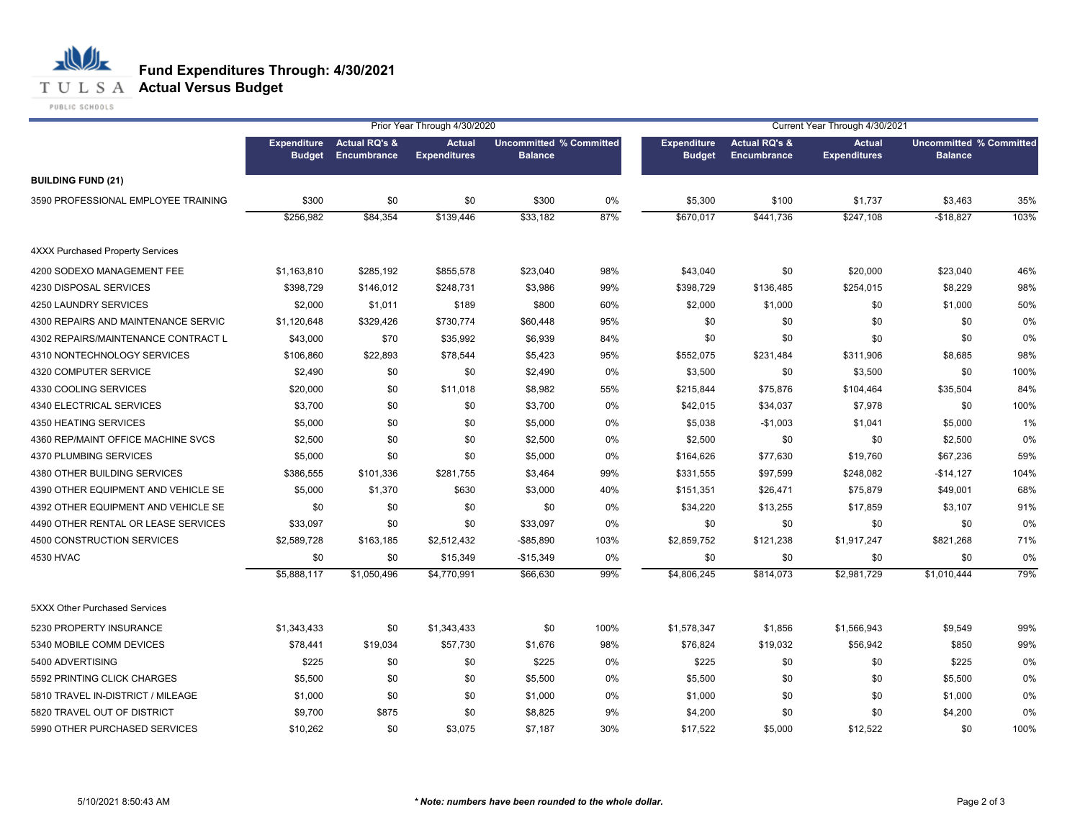#### **T U L S A Actual Versus Budget**

PUBLIC SCHOOLS

|                                         |                                     |                                         | Prior Year Through 4/30/2020         |                                                  |      | Current Year Through 4/30/2021      |                                                |                                      |                                                  |      |  |
|-----------------------------------------|-------------------------------------|-----------------------------------------|--------------------------------------|--------------------------------------------------|------|-------------------------------------|------------------------------------------------|--------------------------------------|--------------------------------------------------|------|--|
|                                         | <b>Expenditure</b><br><b>Budget</b> | <b>Actual RQ's &amp;</b><br>Encumbrance | <b>Actual</b><br><b>Expenditures</b> | <b>Uncommitted % Committed</b><br><b>Balance</b> |      | <b>Expenditure</b><br><b>Budget</b> | <b>Actual RQ's &amp;</b><br><b>Encumbrance</b> | <b>Actual</b><br><b>Expenditures</b> | <b>Uncommitted % Committed</b><br><b>Balance</b> |      |  |
| <b>BUILDING FUND (21)</b>               |                                     |                                         |                                      |                                                  |      |                                     |                                                |                                      |                                                  |      |  |
| 3590 PROFESSIONAL EMPLOYEE TRAINING     | \$300                               | \$0                                     | \$0                                  | \$300                                            | 0%   | \$5,300                             | \$100                                          | \$1,737                              | \$3,463                                          | 35%  |  |
|                                         | \$256,982                           | \$84,354                                | \$139,446                            | \$33,182                                         | 87%  | \$670,017                           | \$441,736                                      | \$247,108                            | $-$18,827$                                       | 103% |  |
| <b>4XXX Purchased Property Services</b> |                                     |                                         |                                      |                                                  |      |                                     |                                                |                                      |                                                  |      |  |
| 4200 SODEXO MANAGEMENT FEE              | \$1,163,810                         | \$285,192                               | \$855,578                            | \$23,040                                         | 98%  | \$43,040                            | \$0                                            | \$20,000                             | \$23,040                                         | 46%  |  |
| 4230 DISPOSAL SERVICES                  | \$398.729                           | \$146,012                               | \$248,731                            | \$3,986                                          | 99%  | \$398,729                           | \$136,485                                      | \$254,015                            | \$8,229                                          | 98%  |  |
| 4250 LAUNDRY SERVICES                   | \$2,000                             | \$1,011                                 | \$189                                | \$800                                            | 60%  | \$2,000                             | \$1,000                                        | \$0                                  | \$1,000                                          | 50%  |  |
| 4300 REPAIRS AND MAINTENANCE SERVIC     | \$1,120,648                         | \$329,426                               | \$730,774                            | \$60,448                                         | 95%  | \$0                                 | \$0                                            | \$0                                  | \$0                                              | 0%   |  |
| 4302 REPAIRS/MAINTENANCE CONTRACT L     | \$43,000                            | \$70                                    | \$35,992                             | \$6,939                                          | 84%  | \$0                                 | \$0                                            | \$0                                  | \$0                                              | 0%   |  |
| 4310 NONTECHNOLOGY SERVICES             | \$106,860                           | \$22,893                                | \$78,544                             | \$5,423                                          | 95%  | \$552,075                           | \$231,484                                      | \$311,906                            | \$8,685                                          | 98%  |  |
| 4320 COMPUTER SERVICE                   | \$2,490                             | \$0                                     | \$0                                  | \$2,490                                          | 0%   | \$3,500                             | \$0                                            | \$3,500                              | \$0                                              | 100% |  |
| 4330 COOLING SERVICES                   | \$20,000                            | \$0                                     | \$11,018                             | \$8,982                                          | 55%  | \$215,844                           | \$75,876                                       | \$104,464                            | \$35,504                                         | 84%  |  |
| 4340 ELECTRICAL SERVICES                | \$3,700                             | \$0                                     | \$0                                  | \$3,700                                          | 0%   | \$42,015                            | \$34,037                                       | \$7,978                              | \$0                                              | 100% |  |
| 4350 HEATING SERVICES                   | \$5,000                             | \$0                                     | \$0                                  | \$5,000                                          | 0%   | \$5,038                             | $-$1,003$                                      | \$1,041                              | \$5,000                                          | 1%   |  |
| 4360 REP/MAINT OFFICE MACHINE SVCS      | \$2,500                             | \$0                                     | \$0                                  | \$2,500                                          | 0%   | \$2,500                             | \$0                                            | \$0                                  | \$2,500                                          | 0%   |  |
| 4370 PLUMBING SERVICES                  | \$5,000                             | \$0                                     | \$0                                  | \$5,000                                          | 0%   | \$164,626                           | \$77,630                                       | \$19,760                             | \$67,236                                         | 59%  |  |
| 4380 OTHER BUILDING SERVICES            | \$386,555                           | \$101,336                               | \$281,755                            | \$3,464                                          | 99%  | \$331,555                           | \$97,599                                       | \$248,082                            | $-$14,127$                                       | 104% |  |
| 4390 OTHER EQUIPMENT AND VEHICLE SE     | \$5,000                             | \$1,370                                 | \$630                                | \$3,000                                          | 40%  | \$151,351                           | \$26,471                                       | \$75,879                             | \$49,001                                         | 68%  |  |
| 4392 OTHER EQUIPMENT AND VEHICLE SE     | \$0                                 | \$0                                     | \$0                                  | \$0                                              | 0%   | \$34,220                            | \$13,255                                       | \$17,859                             | \$3,107                                          | 91%  |  |
| 4490 OTHER RENTAL OR LEASE SERVICES     | \$33,097                            | \$0                                     | \$0                                  | \$33,097                                         | 0%   | \$0                                 | \$0                                            | \$0                                  | \$0                                              | 0%   |  |
| 4500 CONSTRUCTION SERVICES              | \$2,589,728                         | \$163,185                               | \$2,512,432                          | $-$85,890$                                       | 103% | \$2,859,752                         | \$121,238                                      | \$1,917,247                          | \$821,268                                        | 71%  |  |
| 4530 HVAC                               | \$0                                 | \$0                                     | \$15,349                             | $-$15,349$                                       | 0%   | \$0                                 | \$0                                            | \$0                                  | \$0                                              | 0%   |  |
|                                         | \$5,888,117                         | \$1,050,496                             | \$4,770,991                          | \$66,630                                         | 99%  | \$4,806,245                         | \$814,073                                      | \$2,981,729                          | \$1,010,444                                      | 79%  |  |
| 5XXX Other Purchased Services           |                                     |                                         |                                      |                                                  |      |                                     |                                                |                                      |                                                  |      |  |
| 5230 PROPERTY INSURANCE                 | \$1,343,433                         | \$0                                     | \$1,343,433                          | \$0                                              | 100% | \$1,578,347                         | \$1,856                                        | \$1,566,943                          | \$9,549                                          | 99%  |  |
| 5340 MOBILE COMM DEVICES                | \$78,441                            | \$19,034                                | \$57,730                             | \$1,676                                          | 98%  | \$76,824                            | \$19,032                                       | \$56,942                             | \$850                                            | 99%  |  |
| 5400 ADVERTISING                        | \$225                               | \$0                                     | \$0                                  | \$225                                            | 0%   | \$225                               | \$0                                            | \$0                                  | \$225                                            | 0%   |  |
| 5592 PRINTING CLICK CHARGES             | \$5,500                             | \$0                                     | \$0                                  | \$5,500                                          | 0%   | \$5,500                             | \$0                                            | \$0                                  | \$5,500                                          | 0%   |  |
| 5810 TRAVEL IN-DISTRICT / MILEAGE       | \$1,000                             | \$0                                     | \$0                                  | \$1,000                                          | 0%   | \$1,000                             | \$0                                            | \$0                                  | \$1,000                                          | 0%   |  |
| 5820 TRAVEL OUT OF DISTRICT             | \$9,700                             | \$875                                   | \$0                                  | \$8,825                                          | 9%   | \$4,200                             | \$0                                            | \$0                                  | \$4,200                                          | 0%   |  |
| 5990 OTHER PURCHASED SERVICES           | \$10,262                            | \$0                                     | \$3,075                              | \$7,187                                          | 30%  | \$17.522                            | \$5,000                                        | \$12,522                             | \$0                                              | 100% |  |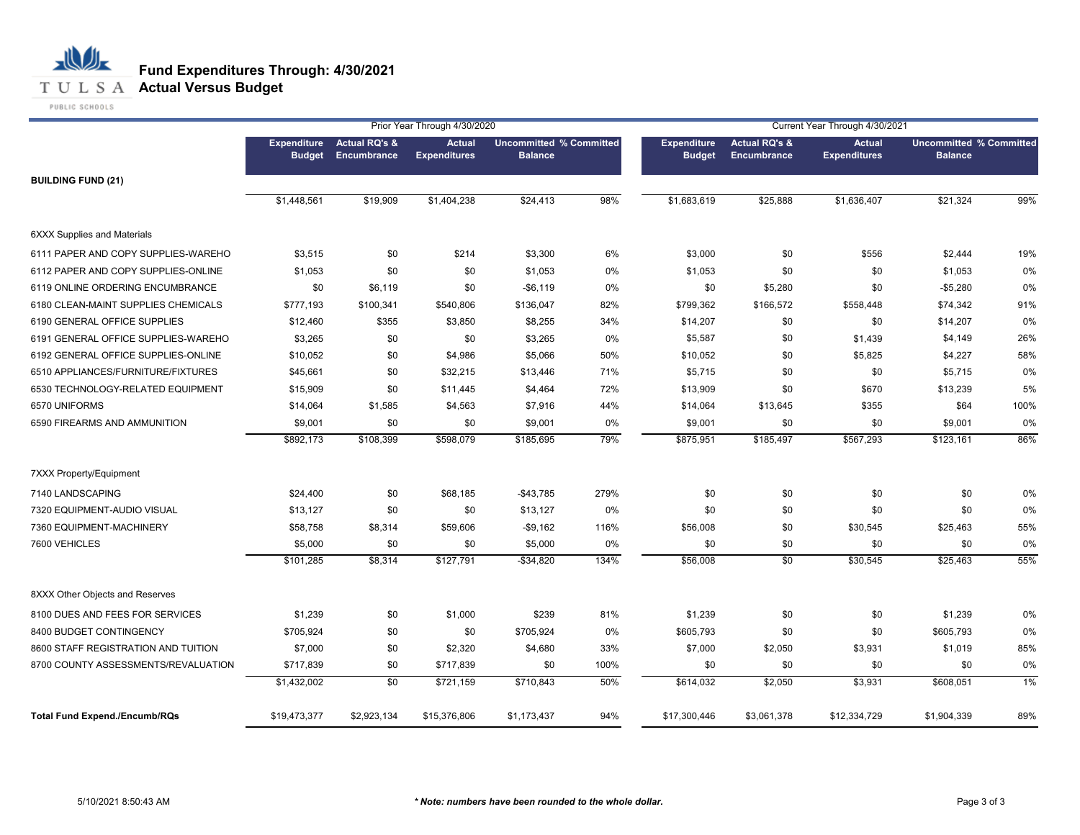#### **T U L S A Actual Versus Budget**

PUBLIC SCHOOLS

| Prior Year Through 4/30/2020         |                                     |                                                |                                      |                                                  |      |                                     | Current Year Through 4/30/2021          |                                      |                                                  |      |  |  |
|--------------------------------------|-------------------------------------|------------------------------------------------|--------------------------------------|--------------------------------------------------|------|-------------------------------------|-----------------------------------------|--------------------------------------|--------------------------------------------------|------|--|--|
|                                      | <b>Expenditure</b><br><b>Budget</b> | <b>Actual RQ's &amp;</b><br><b>Encumbrance</b> | <b>Actual</b><br><b>Expenditures</b> | <b>Uncommitted % Committed</b><br><b>Balance</b> |      | <b>Expenditure</b><br><b>Budget</b> | <b>Actual RQ's &amp;</b><br>Encumbrance | <b>Actual</b><br><b>Expenditures</b> | <b>Uncommitted % Committed</b><br><b>Balance</b> |      |  |  |
| <b>BUILDING FUND (21)</b>            |                                     |                                                |                                      |                                                  |      |                                     |                                         |                                      |                                                  |      |  |  |
|                                      | \$1,448,561                         | \$19,909                                       | \$1,404,238                          | \$24,413                                         | 98%  | \$1,683,619                         | \$25,888                                | \$1,636,407                          | \$21,324                                         | 99%  |  |  |
| <b>6XXX Supplies and Materials</b>   |                                     |                                                |                                      |                                                  |      |                                     |                                         |                                      |                                                  |      |  |  |
| 6111 PAPER AND COPY SUPPLIES-WAREHO  | \$3,515                             | \$0                                            | \$214                                | \$3,300                                          | 6%   | \$3,000                             | \$0                                     | \$556                                | \$2,444                                          | 19%  |  |  |
| 6112 PAPER AND COPY SUPPLIES-ONLINE  | \$1,053                             | \$0                                            | \$0                                  | \$1,053                                          | 0%   | \$1,053                             | \$0                                     | \$0                                  | \$1,053                                          | 0%   |  |  |
| 6119 ONLINE ORDERING ENCUMBRANCE     | \$0                                 | \$6,119                                        | \$0                                  | $-$6,119$                                        | 0%   | \$0                                 | \$5,280                                 | \$0                                  | $-$5,280$                                        | 0%   |  |  |
| 6180 CLEAN-MAINT SUPPLIES CHEMICALS  | \$777,193                           | \$100,341                                      | \$540,806                            | \$136,047                                        | 82%  | \$799,362                           | \$166,572                               | \$558,448                            | \$74,342                                         | 91%  |  |  |
| 6190 GENERAL OFFICE SUPPLIES         | \$12,460                            | \$355                                          | \$3,850                              | \$8,255                                          | 34%  | \$14,207                            | \$0                                     | \$0                                  | \$14,207                                         | 0%   |  |  |
| 6191 GENERAL OFFICE SUPPLIES-WAREHO  | \$3,265                             | \$0                                            | \$0                                  | \$3,265                                          | 0%   | \$5,587                             | \$0                                     | \$1,439                              | \$4,149                                          | 26%  |  |  |
| 6192 GENERAL OFFICE SUPPLIES-ONLINE  | \$10,052                            | \$0                                            | \$4,986                              | \$5,066                                          | 50%  | \$10,052                            | \$0                                     | \$5,825                              | \$4,227                                          | 58%  |  |  |
| 6510 APPLIANCES/FURNITURE/FIXTURES   | \$45,661                            | \$0                                            | \$32,215                             | \$13,446                                         | 71%  | \$5,715                             | \$0                                     | \$0                                  | \$5,715                                          | 0%   |  |  |
| 6530 TECHNOLOGY-RELATED EQUIPMENT    | \$15,909                            | \$0                                            | \$11,445                             | \$4,464                                          | 72%  | \$13,909                            | \$0                                     | \$670                                | \$13,239                                         | 5%   |  |  |
| 6570 UNIFORMS                        | \$14,064                            | \$1,585                                        | \$4,563                              | \$7,916                                          | 44%  | \$14,064                            | \$13,645                                | \$355                                | \$64                                             | 100% |  |  |
| 6590 FIREARMS AND AMMUNITION         | \$9,001                             | \$0                                            | \$0                                  | \$9,001                                          | 0%   | \$9,001                             | \$0                                     | \$0                                  | \$9,001                                          | 0%   |  |  |
|                                      | \$892,173                           | \$108,399                                      | \$598,079                            | \$185,695                                        | 79%  | \$875,951                           | \$185,497                               | \$567,293                            | \$123,161                                        | 86%  |  |  |
| 7XXX Property/Equipment              |                                     |                                                |                                      |                                                  |      |                                     |                                         |                                      |                                                  |      |  |  |
| 7140 LANDSCAPING                     | \$24,400                            | \$0                                            | \$68,185                             | $-$43,785$                                       | 279% | \$0                                 | \$0                                     | \$0                                  | \$0                                              | 0%   |  |  |
| 7320 EQUIPMENT-AUDIO VISUAL          | \$13,127                            | \$0                                            | \$0                                  | \$13,127                                         | 0%   | \$0                                 | \$0                                     | \$0                                  | \$0                                              | 0%   |  |  |
| 7360 EQUIPMENT-MACHINERY             | \$58,758                            | \$8,314                                        | \$59,606                             | $-$9,162$                                        | 116% | \$56,008                            | \$0                                     | \$30,545                             | \$25,463                                         | 55%  |  |  |
| 7600 VEHICLES                        | \$5,000                             | \$0                                            | \$0                                  | \$5,000                                          | 0%   | \$0                                 | \$0                                     | \$0                                  | \$0                                              | 0%   |  |  |
|                                      | \$101,285                           | \$8,314                                        | \$127,791                            | $-$34,820$                                       | 134% | \$56,008                            | $\sqrt{6}$                              | \$30,545                             | \$25,463                                         | 55%  |  |  |
| 8XXX Other Objects and Reserves      |                                     |                                                |                                      |                                                  |      |                                     |                                         |                                      |                                                  |      |  |  |
| 8100 DUES AND FEES FOR SERVICES      | \$1,239                             | \$0                                            | \$1,000                              | \$239                                            | 81%  | \$1,239                             | \$0                                     | \$0                                  | \$1,239                                          | 0%   |  |  |
| 8400 BUDGET CONTINGENCY              | \$705,924                           | \$0                                            | \$0                                  | \$705,924                                        | 0%   | \$605,793                           | \$0                                     | \$0                                  | \$605,793                                        | 0%   |  |  |
| 8600 STAFF REGISTRATION AND TUITION  | \$7,000                             | \$0                                            | \$2,320                              | \$4,680                                          | 33%  | \$7,000                             | \$2,050                                 | \$3,931                              | \$1,019                                          | 85%  |  |  |
| 8700 COUNTY ASSESSMENTS/REVALUATION  | \$717,839                           | \$0                                            | \$717,839                            | \$0                                              | 100% | \$0                                 | \$0                                     | \$0                                  | \$0                                              | 0%   |  |  |
|                                      | \$1,432,002                         | \$0                                            | \$721,159                            | \$710,843                                        | 50%  | \$614,032                           | \$2,050                                 | \$3,931                              | \$608,051                                        | 1%   |  |  |
| <b>Total Fund Expend./Encumb/RQs</b> | \$19,473,377                        | \$2,923,134                                    | \$15,376,806                         | \$1,173,437                                      | 94%  | \$17,300,446                        | \$3,061,378                             | \$12,334,729                         | \$1,904,339                                      | 89%  |  |  |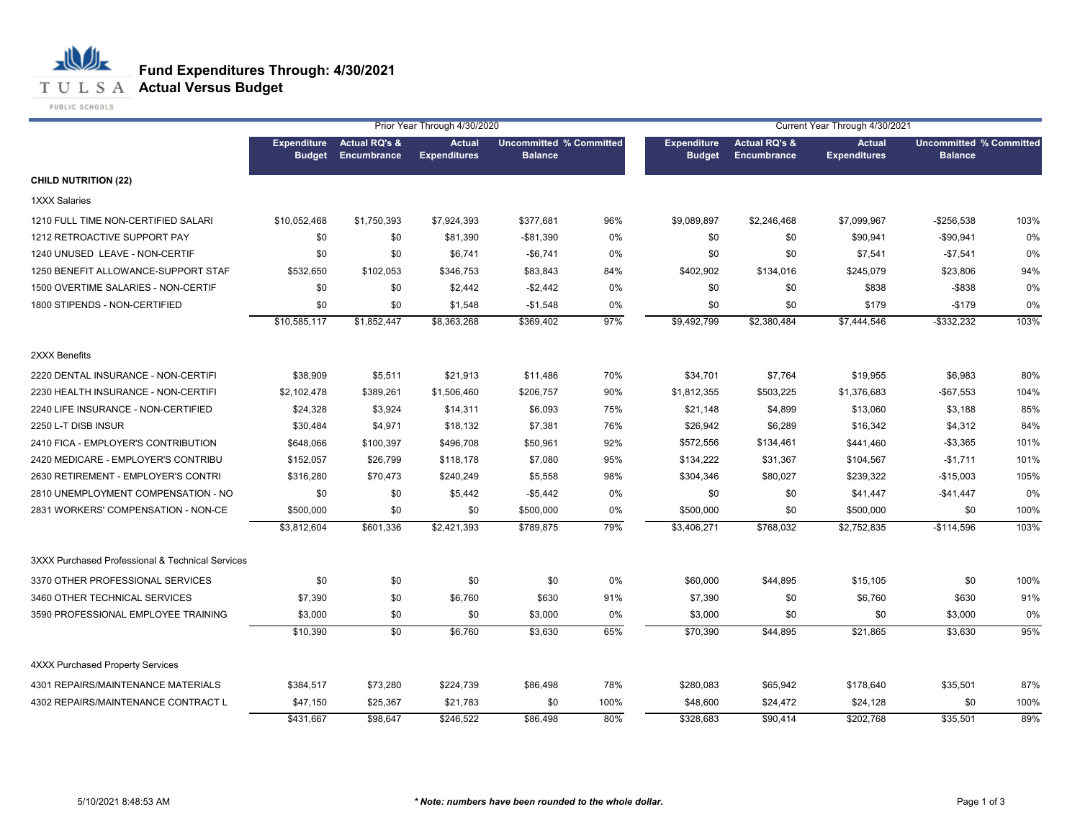

#### **T U L S A Actual Versus Budget**

PUBLIC SCHOOLS

|                                                  |                                     |                                                | Prior Year Through 4/30/2020         |                                                  |      | Current Year Through 4/30/2021      |                                         |                                      |                |                                |  |
|--------------------------------------------------|-------------------------------------|------------------------------------------------|--------------------------------------|--------------------------------------------------|------|-------------------------------------|-----------------------------------------|--------------------------------------|----------------|--------------------------------|--|
|                                                  | <b>Expenditure</b><br><b>Budget</b> | <b>Actual RQ's &amp;</b><br><b>Encumbrance</b> | <b>Actual</b><br><b>Expenditures</b> | <b>Uncommitted % Committed</b><br><b>Balance</b> |      | <b>Expenditure</b><br><b>Budget</b> | <b>Actual RQ's &amp;</b><br>Encumbrance | <b>Actual</b><br><b>Expenditures</b> | <b>Balance</b> | <b>Uncommitted % Committed</b> |  |
| <b>CHILD NUTRITION (22)</b>                      |                                     |                                                |                                      |                                                  |      |                                     |                                         |                                      |                |                                |  |
| <b>1XXX Salaries</b>                             |                                     |                                                |                                      |                                                  |      |                                     |                                         |                                      |                |                                |  |
| 1210 FULL TIME NON-CERTIFIED SALARI              | \$10,052,468                        | \$1,750,393                                    | \$7,924,393                          | \$377,681                                        | 96%  | \$9,089,897                         | \$2,246,468                             | \$7,099,967                          | $-$256,538$    | 103%                           |  |
| 1212 RETROACTIVE SUPPORT PAY                     | \$0                                 | \$0                                            | \$81,390                             | -\$81,390                                        | 0%   | \$0                                 | \$0                                     | \$90,941                             | $-$90,941$     | 0%                             |  |
| 1240 UNUSED LEAVE - NON-CERTIF                   | \$0                                 | \$0                                            | \$6,741                              | $-$6,741$                                        | 0%   | \$0                                 | \$0                                     | \$7,541                              | $-$7,541$      | 0%                             |  |
| 1250 BENEFIT ALLOWANCE-SUPPORT STAF              | \$532,650                           | \$102,053                                      | \$346,753                            | \$83,843                                         | 84%  | \$402,902                           | \$134,016                               | \$245,079                            | \$23,806       | 94%                            |  |
| 1500 OVERTIME SALARIES - NON-CERTIF              | \$0                                 | \$0                                            | \$2,442                              | $-$2,442$                                        | 0%   | \$0                                 | \$0                                     | \$838                                | $-$ \$838      | 0%                             |  |
| 1800 STIPENDS - NON-CERTIFIED                    | \$0                                 | \$0                                            | \$1,548                              | $-$1,548$                                        | 0%   | \$0                                 | \$0                                     | \$179                                | $-$179$        | 0%                             |  |
|                                                  | \$10,585,117                        | \$1,852,447                                    | \$8,363,268                          | \$369,402                                        | 97%  | \$9,492,799                         | \$2,380,484                             | \$7,444,546                          | $-$ \$332,232  | 103%                           |  |
| 2XXX Benefits                                    |                                     |                                                |                                      |                                                  |      |                                     |                                         |                                      |                |                                |  |
| 2220 DENTAL INSURANCE - NON-CERTIFI              | \$38,909                            | \$5,511                                        | \$21,913                             | \$11,486                                         | 70%  | \$34,701                            | \$7,764                                 | \$19,955                             | \$6,983        | 80%                            |  |
| 2230 HEALTH INSURANCE - NON-CERTIFI              | \$2,102,478                         | \$389,261                                      | \$1,506,460                          | \$206,757                                        | 90%  | \$1,812,355                         | \$503,225                               | \$1,376,683                          | $-$67,553$     | 104%                           |  |
| 2240 LIFE INSURANCE - NON-CERTIFIED              | \$24,328                            | \$3,924                                        | \$14,311                             | \$6,093                                          | 75%  | \$21,148                            | \$4,899                                 | \$13,060                             | \$3,188        | 85%                            |  |
| 2250 L-T DISB INSUR                              | \$30,484                            | \$4,971                                        | \$18,132                             | \$7,381                                          | 76%  | \$26,942                            | \$6,289                                 | \$16,342                             | \$4,312        | 84%                            |  |
| 2410 FICA - EMPLOYER'S CONTRIBUTION              | \$648,066                           | \$100,397                                      | \$496,708                            | \$50,961                                         | 92%  | \$572,556                           | \$134,461                               | \$441,460                            | $-$3,365$      | 101%                           |  |
| 2420 MEDICARE - EMPLOYER'S CONTRIBU              | \$152,057                           | \$26,799                                       | \$118,178                            | \$7,080                                          | 95%  | \$134,222                           | \$31,367                                | \$104,567                            | $-$1,711$      | 101%                           |  |
| 2630 RETIREMENT - EMPLOYER'S CONTRI              | \$316,280                           | \$70,473                                       | \$240,249                            | \$5,558                                          | 98%  | \$304,346                           | \$80,027                                | \$239,322                            | $-$15,003$     | 105%                           |  |
| 2810 UNEMPLOYMENT COMPENSATION - NO              | \$0                                 | \$0                                            | \$5,442                              | $-$5,442$                                        | 0%   | \$0                                 | \$0                                     | \$41,447                             | $-$41,447$     | 0%                             |  |
| 2831 WORKERS' COMPENSATION - NON-CE              | \$500,000                           | \$0                                            | \$0                                  | \$500,000                                        | 0%   | \$500,000                           | \$0                                     | \$500,000                            | \$0            | 100%                           |  |
|                                                  | \$3,812,604                         | $\overline{$601,336}$                          | \$2,421,393                          | \$789,875                                        | 79%  | \$3,406,271                         | \$768,032                               | \$2,752,835                          | $-$114,596$    | 103%                           |  |
| 3XXX Purchased Professional & Technical Services |                                     |                                                |                                      |                                                  |      |                                     |                                         |                                      |                |                                |  |
| 3370 OTHER PROFESSIONAL SERVICES                 | \$0                                 | \$0                                            | \$0                                  | \$0                                              | 0%   | \$60,000                            | \$44,895                                | \$15,105                             | \$0            | 100%                           |  |
| 3460 OTHER TECHNICAL SERVICES                    | \$7,390                             | \$0                                            | \$6,760                              | \$630                                            | 91%  | \$7,390                             | \$0                                     | \$6,760                              | \$630          | 91%                            |  |
| 3590 PROFESSIONAL EMPLOYEE TRAINING              | \$3,000                             | \$0                                            | \$0                                  | \$3,000                                          | 0%   | \$3,000                             | \$0                                     | \$0                                  | \$3,000        | 0%                             |  |
|                                                  | \$10,390                            | \$0                                            | \$6,760                              | \$3,630                                          | 65%  | \$70,390                            | \$44,895                                | \$21,865                             | \$3,630        | 95%                            |  |
| <b>4XXX Purchased Property Services</b>          |                                     |                                                |                                      |                                                  |      |                                     |                                         |                                      |                |                                |  |
| 4301 REPAIRS/MAINTENANCE MATERIALS               | \$384,517                           | \$73,280                                       | \$224,739                            | \$86,498                                         | 78%  | \$280,083                           | \$65,942                                | \$178,640                            | \$35,501       | 87%                            |  |
| 4302 REPAIRS/MAINTENANCE CONTRACT L              | \$47,150                            | \$25,367                                       | \$21,783                             | \$0                                              | 100% | \$48,600                            | \$24,472                                | \$24,128                             | \$0            | 100%                           |  |
|                                                  | \$431,667                           | \$98,647                                       | \$246,522                            | \$86,498                                         | 80%  | \$328,683                           | \$90,414                                | \$202,768                            | \$35,501       | 89%                            |  |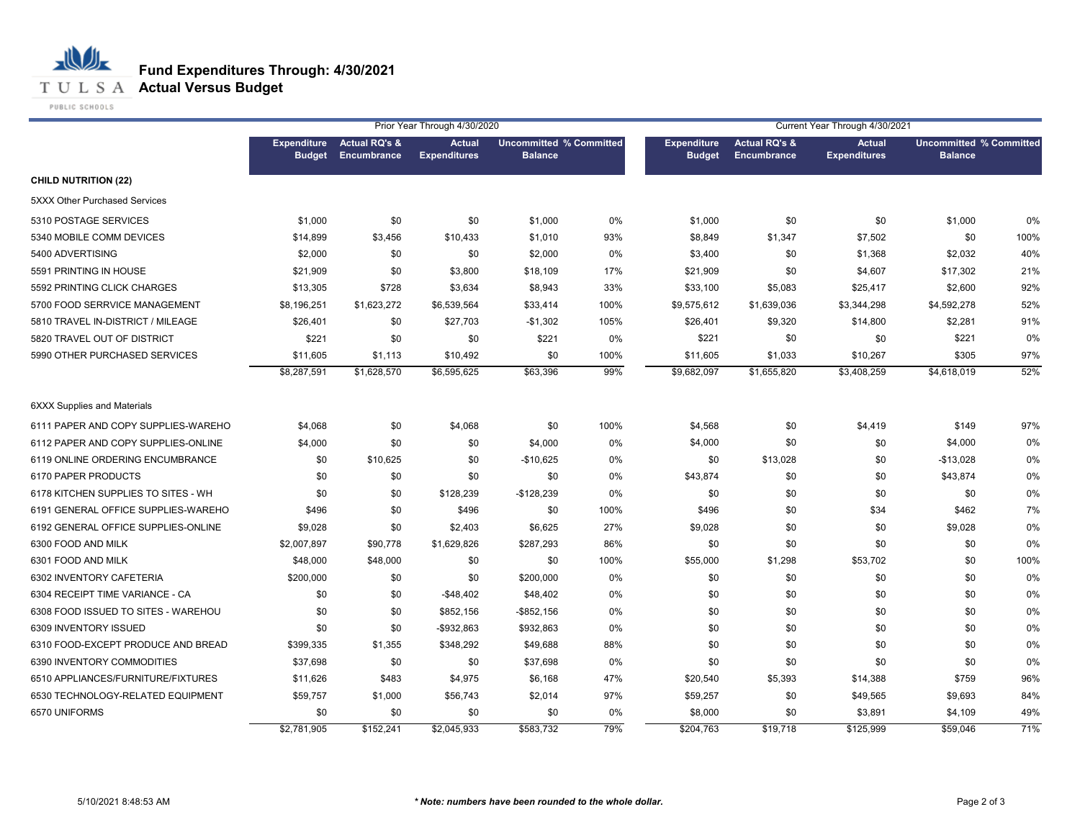**T U L S A Actual Versus Budget** 

PUBLIC SCHOOLS

|                                      | Prior Year Through 4/30/2020        |                                         |                                      |                                                  |      | Current Year Through 4/30/2021      |                                                |                                      |                                                  |      |
|--------------------------------------|-------------------------------------|-----------------------------------------|--------------------------------------|--------------------------------------------------|------|-------------------------------------|------------------------------------------------|--------------------------------------|--------------------------------------------------|------|
|                                      | <b>Expenditure</b><br><b>Budget</b> | <b>Actual RQ's &amp;</b><br>Encumbrance | <b>Actual</b><br><b>Expenditures</b> | <b>Uncommitted % Committed</b><br><b>Balance</b> |      | <b>Expenditure</b><br><b>Budget</b> | <b>Actual RQ's &amp;</b><br><b>Encumbrance</b> | <b>Actual</b><br><b>Expenditures</b> | <b>Uncommitted % Committed</b><br><b>Balance</b> |      |
| <b>CHILD NUTRITION (22)</b>          |                                     |                                         |                                      |                                                  |      |                                     |                                                |                                      |                                                  |      |
| <b>5XXX Other Purchased Services</b> |                                     |                                         |                                      |                                                  |      |                                     |                                                |                                      |                                                  |      |
| 5310 POSTAGE SERVICES                | \$1,000                             | \$0                                     | \$0                                  | \$1,000                                          | 0%   | \$1,000                             | \$0                                            | \$0                                  | \$1,000                                          | 0%   |
| 5340 MOBILE COMM DEVICES             | \$14,899                            | \$3,456                                 | \$10,433                             | \$1,010                                          | 93%  | \$8,849                             | \$1,347                                        | \$7,502                              | \$0                                              | 100% |
| 5400 ADVERTISING                     | \$2,000                             | \$0                                     | \$0                                  | \$2,000                                          | 0%   | \$3,400                             | \$0                                            | \$1,368                              | \$2,032                                          | 40%  |
| 5591 PRINTING IN HOUSE               | \$21,909                            | \$0                                     | \$3,800                              | \$18,109                                         | 17%  | \$21,909                            | \$0                                            | \$4,607                              | \$17,302                                         | 21%  |
| 5592 PRINTING CLICK CHARGES          | \$13,305                            | \$728                                   | \$3,634                              | \$8,943                                          | 33%  | \$33,100                            | \$5,083                                        | \$25,417                             | \$2,600                                          | 92%  |
| 5700 FOOD SERRVICE MANAGEMENT        | \$8,196,251                         | \$1,623,272                             | \$6,539,564                          | \$33,414                                         | 100% | \$9,575,612                         | \$1,639,036                                    | \$3,344,298                          | \$4,592,278                                      | 52%  |
| 5810 TRAVEL IN-DISTRICT / MILEAGE    | \$26,401                            | \$0                                     | \$27,703                             | $-$1,302$                                        | 105% | \$26,401                            | \$9,320                                        | \$14,800                             | \$2,281                                          | 91%  |
| 5820 TRAVEL OUT OF DISTRICT          | \$221                               | \$0                                     | \$0                                  | \$221                                            | 0%   | \$221                               | \$0                                            | \$0                                  | \$221                                            | 0%   |
| 5990 OTHER PURCHASED SERVICES        | \$11,605                            | \$1,113                                 | \$10,492                             | \$0                                              | 100% | \$11,605                            | \$1,033                                        | \$10,267                             | \$305                                            | 97%  |
|                                      | \$8,287,591                         | \$1,628,570                             | \$6,595,625                          | \$63,396                                         | 99%  | \$9,682,097                         | \$1,655,820                                    | \$3,408,259                          | \$4,618,019                                      | 52%  |
| <b>6XXX Supplies and Materials</b>   |                                     |                                         |                                      |                                                  |      |                                     |                                                |                                      |                                                  |      |
| 6111 PAPER AND COPY SUPPLIES-WAREHO  | \$4,068                             | \$0                                     | \$4,068                              | \$0                                              | 100% | \$4,568                             | \$0                                            | \$4,419                              | \$149                                            | 97%  |
| 6112 PAPER AND COPY SUPPLIES-ONLINE  | \$4,000                             | \$0                                     | \$0                                  | \$4,000                                          | 0%   | \$4,000                             | \$0                                            | \$0                                  | \$4,000                                          | 0%   |
| 6119 ONLINE ORDERING ENCUMBRANCE     | \$0                                 | \$10,625                                | \$0                                  | $-$10,625$                                       | 0%   | \$0                                 | \$13,028                                       | \$0                                  | $-$13,028$                                       | 0%   |
| 6170 PAPER PRODUCTS                  | \$0                                 | \$0                                     | \$0                                  | \$0                                              | 0%   | \$43,874                            | \$0                                            | \$0                                  | \$43,874                                         | 0%   |
| 6178 KITCHEN SUPPLIES TO SITES - WH  | \$0                                 | \$0                                     | \$128,239                            | $-$128,239$                                      | 0%   | \$0                                 | \$0                                            | \$0                                  | \$0                                              | 0%   |
| 6191 GENERAL OFFICE SUPPLIES-WAREHO  | \$496                               | \$0                                     | \$496                                | \$0                                              | 100% | \$496                               | \$0                                            | \$34                                 | \$462                                            | 7%   |
| 6192 GENERAL OFFICE SUPPLIES-ONLINE  | \$9,028                             | \$0                                     | \$2,403                              | \$6,625                                          | 27%  | \$9,028                             | \$0                                            | \$0                                  | \$9,028                                          | 0%   |
| 6300 FOOD AND MILK                   | \$2,007,897                         | \$90,778                                | \$1,629,826                          | \$287,293                                        | 86%  | \$0                                 | \$0                                            | \$0                                  | \$0                                              | 0%   |
| 6301 FOOD AND MILK                   | \$48,000                            | \$48,000                                | \$0                                  | \$0                                              | 100% | \$55,000                            | \$1,298                                        | \$53,702                             | \$0                                              | 100% |
| 6302 INVENTORY CAFETERIA             | \$200,000                           | \$0                                     | \$0                                  | \$200,000                                        | 0%   | \$0                                 | \$0                                            | \$0                                  | \$0                                              | 0%   |
| 6304 RECEIPT TIME VARIANCE - CA      | \$0                                 | \$0                                     | $-$48,402$                           | \$48,402                                         | 0%   | \$0                                 | \$0                                            | \$0                                  | \$0                                              | 0%   |
| 6308 FOOD ISSUED TO SITES - WAREHOU  | \$0                                 | \$0                                     | \$852,156                            | $-$ \$852,156                                    | 0%   | \$0                                 | \$0                                            | \$0                                  | \$0                                              | 0%   |
| 6309 INVENTORY ISSUED                | \$0                                 | \$0                                     | -\$932,863                           | \$932,863                                        | 0%   | \$0                                 | \$0                                            | \$0                                  | \$0                                              | 0%   |
| 6310 FOOD-EXCEPT PRODUCE AND BREAD   | \$399,335                           | \$1,355                                 | \$348,292                            | \$49,688                                         | 88%  | \$0                                 | \$0                                            | \$0                                  | \$0                                              | 0%   |
| 6390 INVENTORY COMMODITIES           | \$37,698                            | \$0                                     | \$0                                  | \$37,698                                         | 0%   | \$0                                 | \$0                                            | \$0                                  | \$0                                              | 0%   |
| 6510 APPLIANCES/FURNITURE/FIXTURES   | \$11,626                            | \$483                                   | \$4,975                              | \$6,168                                          | 47%  | \$20,540                            | \$5,393                                        | \$14,388                             | \$759                                            | 96%  |
| 6530 TECHNOLOGY-RELATED EQUIPMENT    | \$59,757                            | \$1,000                                 | \$56,743                             | \$2,014                                          | 97%  | \$59,257                            | \$0                                            | \$49,565                             | \$9,693                                          | 84%  |
| 6570 UNIFORMS                        | \$0                                 | \$0                                     | \$0                                  | \$0                                              | 0%   | \$8,000                             | \$0                                            | \$3,891                              | \$4,109                                          | 49%  |
|                                      | \$2,781,905                         | \$152.241                               | \$2.045.933                          | \$583,732                                        | 79%  | \$204,763                           | \$19,718                                       | \$125,999                            | \$59.046                                         | 71%  |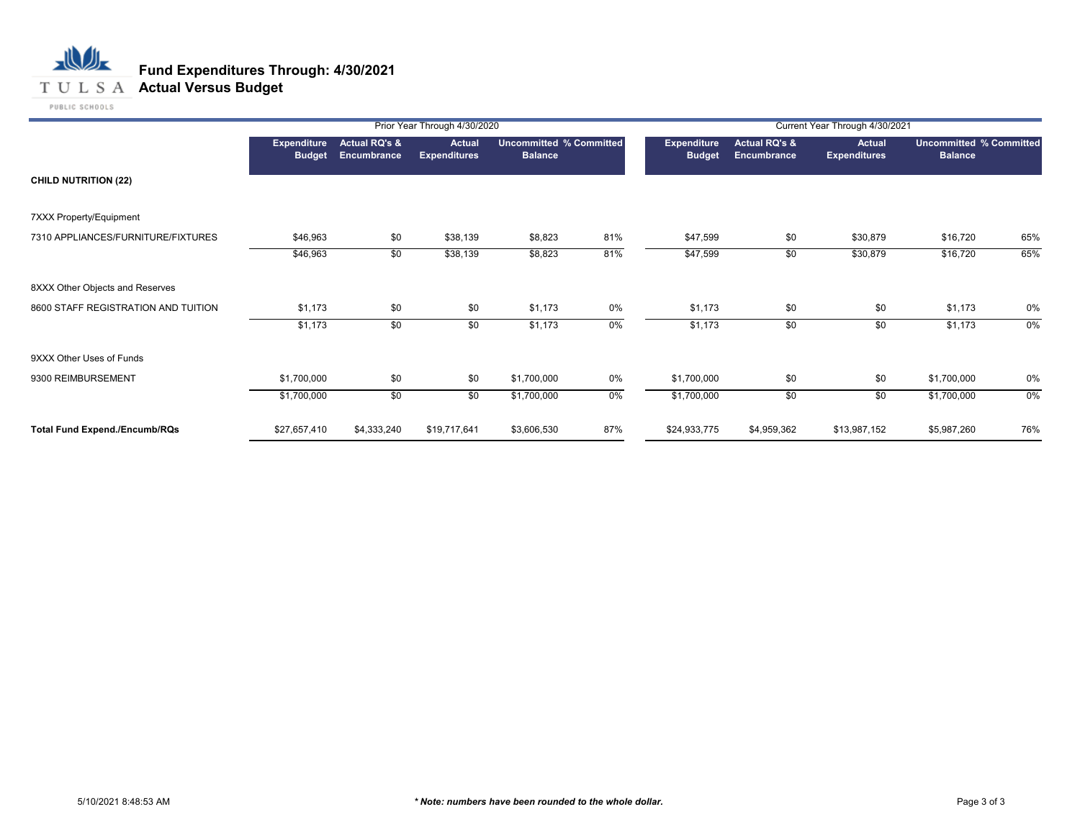#### **T U L S A Actual Versus Budget**

PUBLIC SCHOOLS

|                                      |                              |                                                | Prior Year Through 4/30/2020         |                                                  |       |                                     |                                         | Current Year Through 4/30/2021 |                                                  |     |
|--------------------------------------|------------------------------|------------------------------------------------|--------------------------------------|--------------------------------------------------|-------|-------------------------------------|-----------------------------------------|--------------------------------|--------------------------------------------------|-----|
|                                      | Expenditure<br><b>Budget</b> | <b>Actual RQ's &amp;</b><br><b>Encumbrance</b> | <b>Actual</b><br><b>Expenditures</b> | <b>Uncommitted % Committed</b><br><b>Balance</b> |       | <b>Expenditure</b><br><b>Budget</b> | <b>Actual RQ's &amp;</b><br>Encumbrance | Actual<br><b>Expenditures</b>  | <b>Uncommitted % Committed</b><br><b>Balance</b> |     |
| <b>CHILD NUTRITION (22)</b>          |                              |                                                |                                      |                                                  |       |                                     |                                         |                                |                                                  |     |
| 7XXX Property/Equipment              |                              |                                                |                                      |                                                  |       |                                     |                                         |                                |                                                  |     |
| 7310 APPLIANCES/FURNITURE/FIXTURES   | \$46,963                     | \$0                                            | \$38,139                             | \$8,823                                          | 81%   | \$47,599                            | \$0                                     | \$30,879                       | \$16,720                                         | 65% |
|                                      | \$46,963                     | \$0                                            | \$38,139                             | \$8,823                                          | 81%   | \$47,599                            | \$0                                     | \$30,879                       | \$16,720                                         | 65% |
| 8XXX Other Objects and Reserves      |                              |                                                |                                      |                                                  |       |                                     |                                         |                                |                                                  |     |
| 8600 STAFF REGISTRATION AND TUITION  | \$1,173                      | \$0                                            | \$0                                  | \$1,173                                          | 0%    | \$1,173                             | \$0                                     | \$0                            | \$1,173                                          | 0%  |
|                                      | \$1,173                      | \$0                                            | \$0                                  | \$1,173                                          | 0%    | \$1,173                             | \$0                                     | \$0                            | \$1,173                                          | 0%  |
| 9XXX Other Uses of Funds             |                              |                                                |                                      |                                                  |       |                                     |                                         |                                |                                                  |     |
| 9300 REIMBURSEMENT                   | \$1,700,000                  | \$0                                            | \$0                                  | \$1,700,000                                      | 0%    | \$1,700,000                         | \$0                                     | \$0                            | \$1,700,000                                      | 0%  |
|                                      | \$1,700,000                  | \$0                                            | \$0                                  | \$1,700,000                                      | $0\%$ | \$1,700,000                         | \$0                                     | \$0                            | \$1,700,000                                      | 0%  |
| <b>Total Fund Expend./Encumb/RQs</b> | \$27,657,410                 | \$4,333,240                                    | \$19,717,641                         | \$3,606,530                                      | 87%   | \$24,933,775                        | \$4,959,362                             | \$13,987,152                   | \$5,987,260                                      | 76% |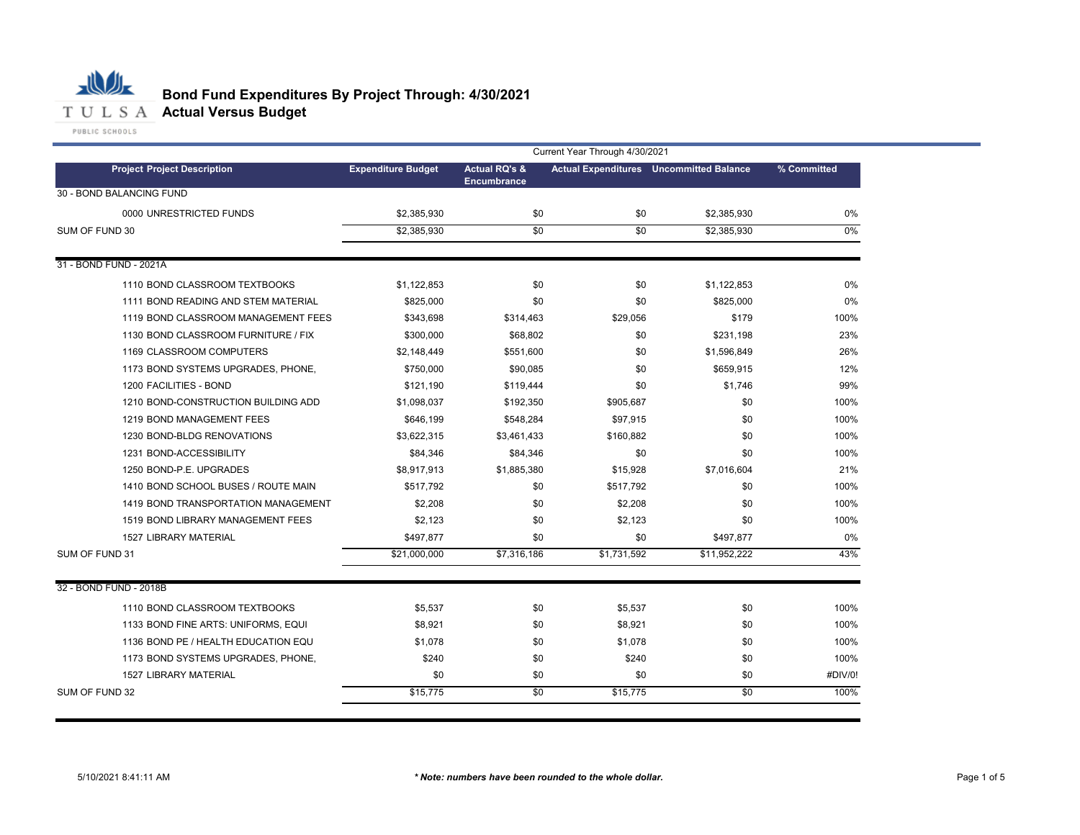

# **Bond Fund Expenditures By Project Through: 4/30/2021**

|                                     | Current Year Through 4/30/2021 |                                                |             |                                                |             |  |  |
|-------------------------------------|--------------------------------|------------------------------------------------|-------------|------------------------------------------------|-------------|--|--|
| <b>Project Project Description</b>  | <b>Expenditure Budget</b>      | <b>Actual RQ's &amp;</b><br><b>Encumbrance</b> |             | <b>Actual Expenditures</b> Uncommitted Balance | % Committed |  |  |
| 30 - BOND BALANCING FUND            |                                |                                                |             |                                                |             |  |  |
| 0000 UNRESTRICTED FUNDS             | \$2,385,930                    | \$0                                            | \$0         | \$2,385,930                                    | $0\%$       |  |  |
| SUM OF FUND 30                      | \$2,385,930                    | \$0                                            | \$0         | \$2,385,930                                    | $0\%$       |  |  |
|                                     |                                |                                                |             |                                                |             |  |  |
| 31 - BOND FUND - 2021A              |                                |                                                |             |                                                |             |  |  |
| 1110 BOND CLASSROOM TEXTBOOKS       | \$1,122,853                    | \$0                                            | \$0         | \$1,122,853                                    | $0\%$       |  |  |
| 1111 BOND READING AND STEM MATERIAL | \$825,000                      | \$0                                            | \$0         | \$825,000                                      | $0\%$       |  |  |
| 1119 BOND CLASSROOM MANAGEMENT FEES | \$343,698                      | \$314,463                                      | \$29,056    | \$179                                          | 100%        |  |  |
| 1130 BOND CLASSROOM FURNITURE / FIX | \$300,000                      | \$68,802                                       | \$0         | \$231.198                                      | 23%         |  |  |
| 1169 CLASSROOM COMPUTERS            | \$2,148,449                    | \$551,600                                      | \$0         | \$1,596,849                                    | 26%         |  |  |
| 1173 BOND SYSTEMS UPGRADES, PHONE,  | \$750,000                      | \$90,085                                       | \$0         | \$659,915                                      | 12%         |  |  |
| 1200 FACILITIES - BOND              | \$121,190                      | \$119,444                                      | \$0         | \$1,746                                        | 99%         |  |  |
| 1210 BOND-CONSTRUCTION BUILDING ADD | \$1,098,037                    | \$192,350                                      | \$905,687   | \$0                                            | 100%        |  |  |
| 1219 BOND MANAGEMENT FEES           | \$646,199                      | \$548,284                                      | \$97,915    | \$0                                            | 100%        |  |  |
| 1230 BOND-BLDG RENOVATIONS          | \$3,622,315                    | \$3,461,433                                    | \$160,882   | \$0                                            | 100%        |  |  |
| 1231 BOND-ACCESSIBILITY             | \$84,346                       | \$84,346                                       | \$0         | \$0                                            | 100%        |  |  |
| 1250 BOND-P.E. UPGRADES             | \$8,917,913                    | \$1,885,380                                    | \$15,928    | \$7,016,604                                    | 21%         |  |  |
| 1410 BOND SCHOOL BUSES / ROUTE MAIN | \$517,792                      | \$0                                            | \$517,792   | \$0                                            | 100%        |  |  |
| 1419 BOND TRANSPORTATION MANAGEMENT | \$2,208                        | \$0                                            | \$2,208     | \$0                                            | 100%        |  |  |
| 1519 BOND LIBRARY MANAGEMENT FEES   | \$2,123                        | \$0                                            | \$2,123     | \$0                                            | 100%        |  |  |
| <b>1527 LIBRARY MATERIAL</b>        | \$497,877                      | \$0                                            | \$0         | \$497,877                                      | 0%          |  |  |
| SUM OF FUND 31                      | \$21,000,000                   | \$7,316,186                                    | \$1,731,592 | \$11,952,222                                   | 43%         |  |  |
| 32 - BOND FUND - 2018B              |                                |                                                |             |                                                |             |  |  |
| 1110 BOND CLASSROOM TEXTBOOKS       | \$5,537                        | \$0                                            | \$5,537     | \$0                                            | 100%        |  |  |
| 1133 BOND FINE ARTS: UNIFORMS, EQUI | \$8.921                        | \$0                                            | \$8.921     | \$0                                            | 100%        |  |  |
| 1136 BOND PE / HEALTH EDUCATION EQU | \$1,078                        | \$0                                            | \$1,078     | \$0                                            | 100%        |  |  |
| 1173 BOND SYSTEMS UPGRADES, PHONE,  | \$240                          | \$0                                            | \$240       | \$0                                            | 100%        |  |  |
| 1527 LIBRARY MATERIAL               | \$0                            | \$0                                            | \$0         | \$0                                            | #DIV/0!     |  |  |
| SUM OF FUND 32                      | \$15,775                       | \$0                                            | \$15,775    | \$0                                            | 100%        |  |  |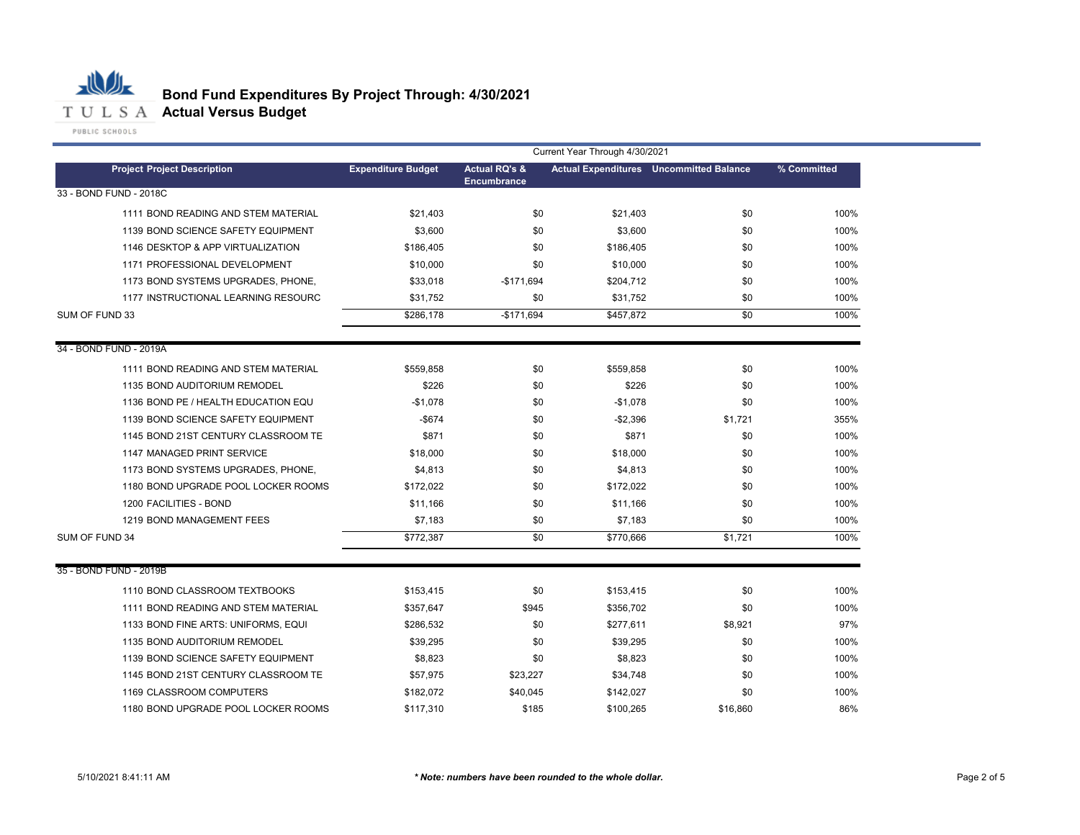

| <b>Expenditure Budget</b> | <b>Actual RQ's &amp;</b><br><b>Encumbrance</b> |           |          | % Committed                                                                                                                            |
|---------------------------|------------------------------------------------|-----------|----------|----------------------------------------------------------------------------------------------------------------------------------------|
|                           |                                                |           |          |                                                                                                                                        |
| \$21,403                  | \$0                                            | \$21,403  | \$0      | 100%                                                                                                                                   |
| \$3,600                   | \$0                                            | \$3,600   | \$0      | 100%                                                                                                                                   |
| \$186,405                 | \$0                                            | \$186,405 | \$0      | 100%                                                                                                                                   |
| \$10,000                  | \$0                                            | \$10,000  | \$0      | 100%                                                                                                                                   |
| \$33,018                  | $-$171,694$                                    |           | \$0      | 100%                                                                                                                                   |
| \$31,752                  | \$0                                            |           | \$0      | 100%                                                                                                                                   |
| \$286,178                 | $-$171.694$                                    |           | \$0      | 100%                                                                                                                                   |
|                           |                                                |           |          |                                                                                                                                        |
| \$559,858                 | \$0                                            | \$559,858 | \$0      | 100%                                                                                                                                   |
| \$226                     | \$0                                            | \$226     | \$0      | 100%                                                                                                                                   |
| $-$1,078$                 | \$0                                            | $-$1,078$ | \$0      | 100%                                                                                                                                   |
| $-$674$                   | \$0                                            | $-$2,396$ | \$1,721  | 355%                                                                                                                                   |
| \$871                     | \$0                                            | \$871     | \$0      | 100%                                                                                                                                   |
| \$18,000                  | \$0                                            | \$18,000  | \$0      | 100%                                                                                                                                   |
| \$4,813                   | \$0                                            | \$4,813   | \$0      | 100%                                                                                                                                   |
| \$172,022                 | \$0                                            |           | \$0      | 100%                                                                                                                                   |
| \$11,166                  | \$0                                            | \$11,166  | \$0      | 100%                                                                                                                                   |
| \$7,183                   | \$0                                            |           | \$0      | 100%                                                                                                                                   |
| \$772,387                 | \$0                                            | \$770,666 | \$1,721  | 100%                                                                                                                                   |
|                           |                                                |           |          |                                                                                                                                        |
| \$153,415                 | \$0                                            |           | \$0      | 100%                                                                                                                                   |
| \$357,647                 | \$945                                          |           | \$0      | 100%                                                                                                                                   |
| \$286,532                 | \$0                                            | \$277,611 | \$8,921  | 97%                                                                                                                                    |
| \$39,295                  | \$0                                            | \$39,295  | \$0      | 100%                                                                                                                                   |
| \$8,823                   | \$0                                            | \$8,823   | \$0      | 100%                                                                                                                                   |
| \$57,975                  | \$23,227                                       | \$34,748  | \$0      | 100%                                                                                                                                   |
| \$182,072                 | \$40,045                                       | \$142,027 | \$0      | 100%                                                                                                                                   |
| \$117,310                 | \$185                                          | \$100,265 | \$16,860 | 86%                                                                                                                                    |
|                           |                                                |           |          | <b>Actual Expenditures</b> Uncommitted Balance<br>\$204,712<br>\$31,752<br>\$457,872<br>\$172,022<br>\$7,183<br>\$153,415<br>\$356,702 |

## **Bond Fund Expenditures By Project Through: 4/30/2021**

Current Year Through 4/30/2021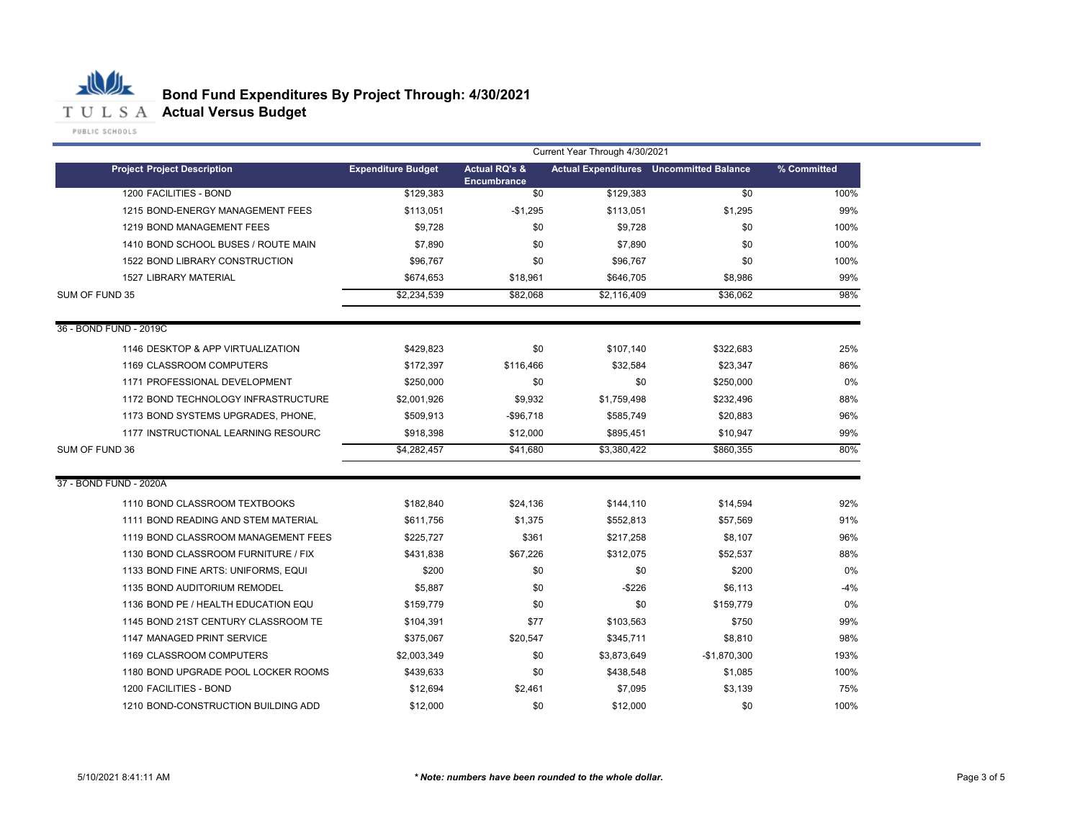

|                                     | Current Year Through 4/30/2021 |                                                |             |                                                |             |  |
|-------------------------------------|--------------------------------|------------------------------------------------|-------------|------------------------------------------------|-------------|--|
| <b>Project Project Description</b>  | <b>Expenditure Budget</b>      | <b>Actual RQ's &amp;</b><br><b>Encumbrance</b> |             | <b>Actual Expenditures</b> Uncommitted Balance | % Committed |  |
| 1200 FACILITIES - BOND              | \$129,383                      | \$0                                            | \$129,383   | \$0                                            | 100%        |  |
| 1215 BOND-ENERGY MANAGEMENT FEES    | \$113,051                      | $-$1,295$                                      | \$113,051   | \$1,295                                        | 99%         |  |
| 1219 BOND MANAGEMENT FEES           | \$9,728                        | \$0                                            | \$9,728     | \$0                                            | 100%        |  |
| 1410 BOND SCHOOL BUSES / ROUTE MAIN | \$7,890                        | \$0                                            | \$7,890     | \$0                                            | 100%        |  |
| 1522 BOND LIBRARY CONSTRUCTION      | \$96,767                       | \$0                                            | \$96,767    | \$0                                            | 100%        |  |
| <b>1527 LIBRARY MATERIAL</b>        | \$674,653                      | \$18,961                                       | \$646,705   | \$8,986                                        | 99%         |  |
| SUM OF FUND 35                      | \$2,234,539                    | \$82,068                                       | \$2,116,409 | \$36,062                                       | 98%         |  |
| 36 - BOND FUND - 2019C              |                                |                                                |             |                                                |             |  |
| 1146 DESKTOP & APP VIRTUALIZATION   | \$429,823                      | \$0                                            | \$107,140   | \$322,683                                      | 25%         |  |
| 1169 CLASSROOM COMPUTERS            | \$172,397                      | \$116,466                                      | \$32,584    | \$23,347                                       | 86%         |  |
| 1171 PROFESSIONAL DEVELOPMENT       | \$250,000                      | \$0                                            | \$0         | \$250,000                                      | $0\%$       |  |
| 1172 BOND TECHNOLOGY INFRASTRUCTURE | \$2,001,926                    | \$9,932                                        | \$1,759,498 | \$232,496                                      | 88%         |  |
| 1173 BOND SYSTEMS UPGRADES, PHONE,  | \$509,913                      | $-$96,718$                                     | \$585,749   | \$20,883                                       | 96%         |  |
| 1177 INSTRUCTIONAL LEARNING RESOURC | \$918,398                      | \$12,000                                       | \$895,451   | \$10,947                                       | 99%         |  |
| SUM OF FUND 36                      | \$4,282,457                    | \$41,680                                       | \$3,380,422 | \$860,355                                      | 80%         |  |
| 37 - BOND FUND - 2020A              |                                |                                                |             |                                                |             |  |
| 1110 BOND CLASSROOM TEXTBOOKS       | \$182,840                      | \$24,136                                       | \$144,110   | \$14,594                                       | 92%         |  |
| 1111 BOND READING AND STEM MATERIAL | \$611,756                      | \$1,375                                        | \$552,813   | \$57,569                                       | 91%         |  |
| 1119 BOND CLASSROOM MANAGEMENT FEES | \$225,727                      | \$361                                          | \$217,258   | \$8,107                                        | 96%         |  |
| 1130 BOND CLASSROOM FURNITURE / FIX | \$431,838                      | \$67,226                                       | \$312,075   | \$52,537                                       | 88%         |  |
| 1133 BOND FINE ARTS: UNIFORMS, EQUI | \$200                          | \$0                                            | \$0         | \$200                                          | 0%          |  |
| 1135 BOND AUDITORIUM REMODEL        | \$5,887                        | \$0                                            | $-$ \$226   | \$6,113                                        | $-4%$       |  |
| 1136 BOND PE / HEALTH EDUCATION EQU | \$159,779                      | \$0                                            | \$0         | \$159,779                                      | 0%          |  |
| 1145 BOND 21ST CENTURY CLASSROOM TE | \$104,391                      | \$77                                           | \$103,563   | \$750                                          | 99%         |  |
| 1147 MANAGED PRINT SERVICE          | \$375,067                      | \$20,547                                       | \$345,711   | \$8,810                                        | 98%         |  |
| 1169 CLASSROOM COMPUTERS            | \$2,003,349                    | \$0                                            | \$3,873,649 | $-$1,870,300$                                  | 193%        |  |
| 1180 BOND UPGRADE POOL LOCKER ROOMS | \$439,633                      | \$0                                            | \$438,548   | \$1,085                                        | 100%        |  |
| 1200 FACILITIES - BOND              | \$12,694                       | \$2,461                                        | \$7,095     | \$3,139                                        | 75%         |  |
| 1210 BOND-CONSTRUCTION BUILDING ADD | \$12,000                       | \$0                                            | \$12,000    | \$0                                            | 100%        |  |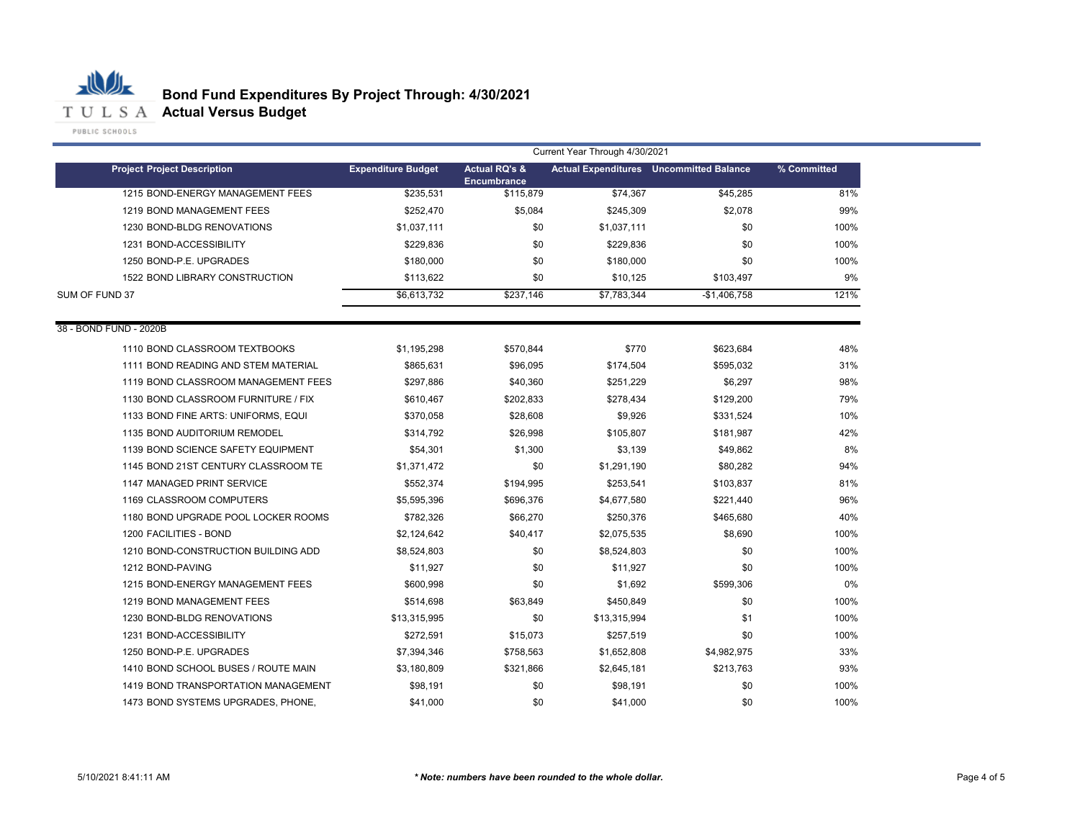

|                                     | Current Year Through 4/30/2021 |                                         |              |                                                |             |  |  |
|-------------------------------------|--------------------------------|-----------------------------------------|--------------|------------------------------------------------|-------------|--|--|
| <b>Project Project Description</b>  | <b>Expenditure Budget</b>      | <b>Actual RQ's &amp;</b><br>Encumbrance |              | <b>Actual Expenditures</b> Uncommitted Balance | % Committed |  |  |
| 1215 BOND-ENERGY MANAGEMENT FEES    | \$235.531                      | \$115,879                               | \$74,367     | \$45,285                                       | 81%         |  |  |
| 1219 BOND MANAGEMENT FEES           | \$252,470                      | \$5,084                                 | \$245,309    | \$2,078                                        | 99%         |  |  |
| 1230 BOND-BLDG RENOVATIONS          | \$1,037,111                    | \$0                                     | \$1,037,111  | \$0                                            | 100%        |  |  |
| 1231 BOND-ACCESSIBILITY             | \$229,836                      | \$0                                     | \$229,836    | \$0                                            | 100%        |  |  |
| 1250 BOND-P.E. UPGRADES             | \$180,000                      | \$0                                     | \$180,000    | \$0                                            | 100%        |  |  |
| 1522 BOND LIBRARY CONSTRUCTION      | \$113,622                      | \$0                                     | \$10,125     | \$103,497                                      | 9%          |  |  |
| SUM OF FUND 37                      | \$6,613,732                    | \$237,146                               | \$7,783,344  | $-$1,406,758$                                  | 121%        |  |  |
| 38 - BOND FUND - 2020B              |                                |                                         |              |                                                |             |  |  |
| 1110 BOND CLASSROOM TEXTBOOKS       | \$1,195,298                    | \$570,844                               | \$770        | \$623,684                                      | 48%         |  |  |
| 1111 BOND READING AND STEM MATERIAL | \$865,631                      | \$96,095                                | \$174,504    | \$595,032                                      | 31%         |  |  |
| 1119 BOND CLASSROOM MANAGEMENT FEES | \$297.886                      | \$40,360                                | \$251,229    | \$6,297                                        | 98%         |  |  |
| 1130 BOND CLASSROOM FURNITURE / FIX | \$610,467                      | \$202,833                               | \$278,434    | \$129,200                                      | 79%         |  |  |
| 1133 BOND FINE ARTS: UNIFORMS, EQUI | \$370,058                      | \$28,608                                | \$9,926      | \$331,524                                      | 10%         |  |  |
| 1135 BOND AUDITORIUM REMODEL        | \$314,792                      | \$26,998                                | \$105,807    | \$181,987                                      | 42%         |  |  |
| 1139 BOND SCIENCE SAFETY EQUIPMENT  | \$54,301                       | \$1,300                                 | \$3,139      | \$49,862                                       | 8%          |  |  |
| 1145 BOND 21ST CENTURY CLASSROOM TE | \$1,371,472                    | \$0                                     | \$1,291,190  | \$80,282                                       | 94%         |  |  |
| 1147 MANAGED PRINT SERVICE          | \$552,374                      | \$194,995                               | \$253,541    | \$103,837                                      | 81%         |  |  |
| 1169 CLASSROOM COMPUTERS            | \$5,595,396                    | \$696,376                               | \$4,677,580  | \$221,440                                      | 96%         |  |  |
| 1180 BOND UPGRADE POOL LOCKER ROOMS | \$782,326                      | \$66,270                                | \$250,376    | \$465,680                                      | 40%         |  |  |
| 1200 FACILITIES - BOND              | \$2,124,642                    | \$40,417                                | \$2,075,535  | \$8,690                                        | 100%        |  |  |
| 1210 BOND-CONSTRUCTION BUILDING ADD | \$8,524,803                    | \$0                                     | \$8,524,803  | \$0                                            | 100%        |  |  |
| 1212 BOND-PAVING                    | \$11,927                       | \$0                                     | \$11,927     | \$0                                            | 100%        |  |  |
| 1215 BOND-ENERGY MANAGEMENT FEES    | \$600,998                      | \$0                                     | \$1,692      | \$599,306                                      | 0%          |  |  |
| 1219 BOND MANAGEMENT FEES           | \$514,698                      | \$63,849                                | \$450,849    | \$0                                            | 100%        |  |  |
| 1230 BOND-BLDG RENOVATIONS          | \$13,315,995                   | \$0                                     | \$13,315,994 | \$1                                            | 100%        |  |  |
| 1231 BOND-ACCESSIBILITY             | \$272,591                      | \$15,073                                | \$257,519    | \$0                                            | 100%        |  |  |
| 1250 BOND-P.E. UPGRADES             | \$7,394,346                    | \$758,563                               | \$1,652,808  | \$4,982,975                                    | 33%         |  |  |
| 1410 BOND SCHOOL BUSES / ROUTE MAIN | \$3,180,809                    | \$321,866                               | \$2,645,181  | \$213,763                                      | 93%         |  |  |
| 1419 BOND TRANSPORTATION MANAGEMENT | \$98,191                       | \$0                                     | \$98,191     | \$0                                            | 100%        |  |  |
| 1473 BOND SYSTEMS UPGRADES, PHONE,  | \$41,000                       | \$0                                     | \$41,000     | \$0                                            | 100%        |  |  |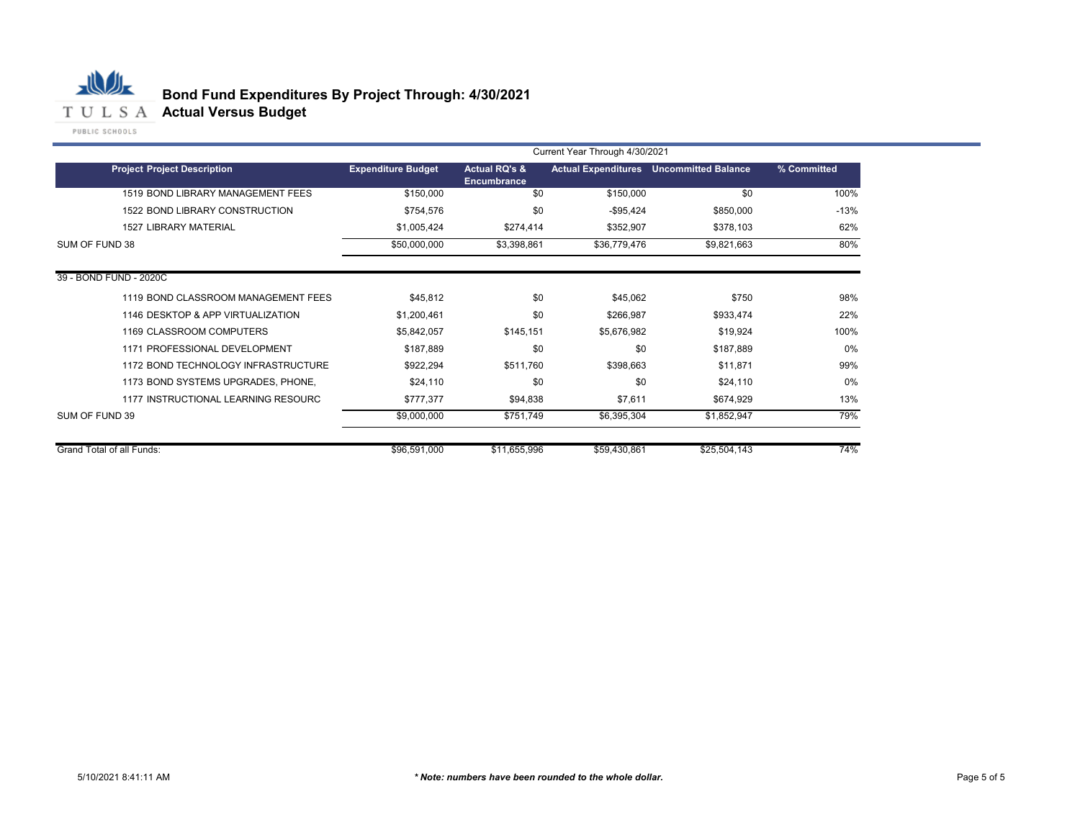

## **Bond Fund Expenditures By Project Through: 4/30/2021**

|                                     |                           |                                         | Current Year Through 4/30/2021 |                                                |             |
|-------------------------------------|---------------------------|-----------------------------------------|--------------------------------|------------------------------------------------|-------------|
| <b>Project Project Description</b>  | <b>Expenditure Budget</b> | <b>Actual RQ's &amp;</b><br>Encumbrance |                                | <b>Actual Expenditures</b> Uncommitted Balance | % Committed |
| 1519 BOND LIBRARY MANAGEMENT FEES   | \$150,000                 | \$0                                     | \$150,000                      | \$0                                            | 100%        |
| 1522 BOND LIBRARY CONSTRUCTION      | \$754,576                 | \$0                                     | $-$95,424$                     | \$850,000                                      | $-13%$      |
| <b>1527 LIBRARY MATERIAL</b>        | \$1,005,424               | \$274,414                               | \$352,907                      | \$378,103                                      | 62%         |
| SUM OF FUND 38                      | \$50,000,000              | \$3,398,861                             | \$36,779,476                   | \$9,821,663                                    | 80%         |
| 39 - BOND FUND - 2020C              |                           |                                         |                                |                                                |             |
| 1119 BOND CLASSROOM MANAGEMENT FEES | \$45,812                  | \$0                                     | \$45,062                       | \$750                                          | 98%         |
| 1146 DESKTOP & APP VIRTUALIZATION   | \$1,200,461               | \$0                                     | \$266,987                      | \$933,474                                      | 22%         |
| 1169 CLASSROOM COMPUTERS            | \$5,842,057               | \$145,151                               | \$5,676,982                    | \$19,924                                       | 100%        |
| 1171 PROFESSIONAL DEVELOPMENT       | \$187,889                 | \$0                                     | \$0                            | \$187,889                                      | $0\%$       |
| 1172 BOND TECHNOLOGY INFRASTRUCTURE | \$922,294                 | \$511,760                               | \$398,663                      | \$11,871                                       | 99%         |
| 1173 BOND SYSTEMS UPGRADES, PHONE,  | \$24,110                  | \$0                                     | \$0                            | \$24,110                                       | 0%          |
| 1177 INSTRUCTIONAL LEARNING RESOURC | \$777,377                 | \$94,838                                | \$7,611                        | \$674,929                                      | 13%         |
| SUM OF FUND 39                      | \$9,000,000               | \$751,749                               | \$6,395,304                    | \$1,852,947                                    | 79%         |
| Grand Total of all Funds:           | \$96,591,000              | \$11,655,996                            | \$59,430,861                   | \$25,504,143                                   | 74%         |